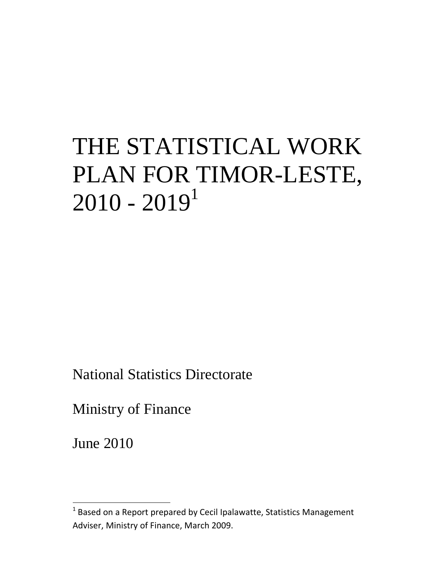# THE STATISTICAL WORK PLAN FOR TIMOR-LESTE,  $2010 - 2019<sup>1</sup>$

National Statistics Directorate

Ministry of Finance

June 2010

 $1$  Based on a Report prepared by Cecil Ipalawatte, Statistics Management Adviser, Ministry of Finance, March 2009.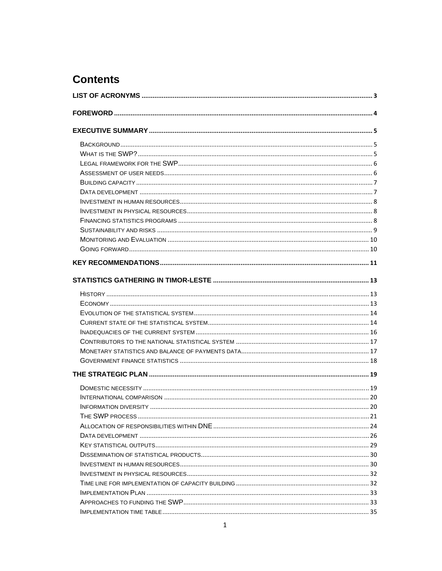## **Contents**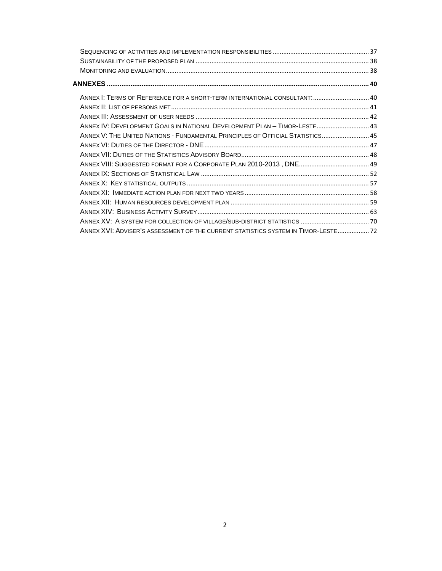| ANNEX I: TERMS OF REFERENCE FOR A SHORT-TERM INTERNATIONAL CONSULTANT:  40<br>ANNEX IV: DEVELOPMENT GOALS IN NATIONAL DEVELOPMENT PLAN - TIMOR-LESTE 43<br>ANNEX V: THE UNITED NATIONS - FUNDAMENTAL PRINCIPLES OF OFFICIAL STATISTICS 45<br>ANNEX XVI: ADVISER'S ASSESSMENT OF THE CURRENT STATISTICS SYSTEM IN TIMOR-LESTE  72 |
|----------------------------------------------------------------------------------------------------------------------------------------------------------------------------------------------------------------------------------------------------------------------------------------------------------------------------------|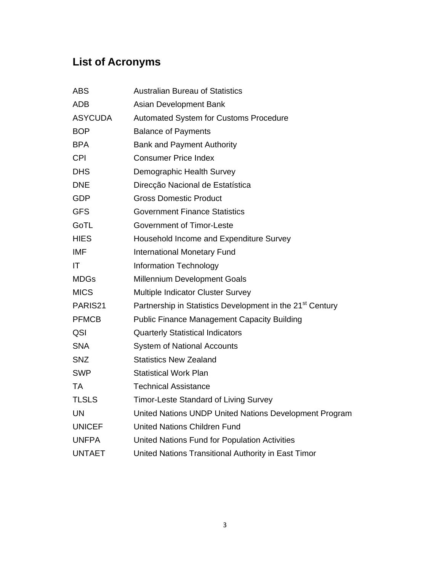## **List of Acronyms**

| <b>ABS</b>     | <b>Australian Bureau of Statistics</b>                                |
|----------------|-----------------------------------------------------------------------|
| <b>ADB</b>     | Asian Development Bank                                                |
| <b>ASYCUDA</b> | <b>Automated System for Customs Procedure</b>                         |
| <b>BOP</b>     | <b>Balance of Payments</b>                                            |
| <b>BPA</b>     | <b>Bank and Payment Authority</b>                                     |
| <b>CPI</b>     | <b>Consumer Price Index</b>                                           |
| <b>DHS</b>     | Demographic Health Survey                                             |
| <b>DNE</b>     | Direcção Nacional de Estatística                                      |
| <b>GDP</b>     | <b>Gross Domestic Product</b>                                         |
| <b>GFS</b>     | <b>Government Finance Statistics</b>                                  |
| GoTL           | <b>Government of Timor-Leste</b>                                      |
| <b>HIES</b>    | Household Income and Expenditure Survey                               |
| <b>IMF</b>     | <b>International Monetary Fund</b>                                    |
| IT             | <b>Information Technology</b>                                         |
| <b>MDGs</b>    | Millennium Development Goals                                          |
| <b>MICS</b>    | Multiple Indicator Cluster Survey                                     |
| PARIS21        | Partnership in Statistics Development in the 21 <sup>st</sup> Century |
| <b>PFMCB</b>   | <b>Public Finance Management Capacity Building</b>                    |
| QSI            | <b>Quarterly Statistical Indicators</b>                               |
| <b>SNA</b>     | <b>System of National Accounts</b>                                    |
| <b>SNZ</b>     | <b>Statistics New Zealand</b>                                         |
| <b>SWP</b>     | <b>Statistical Work Plan</b>                                          |
| <b>TA</b>      | <b>Technical Assistance</b>                                           |
| <b>TLSLS</b>   | <b>Timor-Leste Standard of Living Survey</b>                          |
| <b>UN</b>      | United Nations UNDP United Nations Development Program                |
| <b>UNICEF</b>  | <b>United Nations Children Fund</b>                                   |
| <b>UNFPA</b>   | United Nations Fund for Population Activities                         |
| <b>UNTAET</b>  | United Nations Transitional Authority in East Timor                   |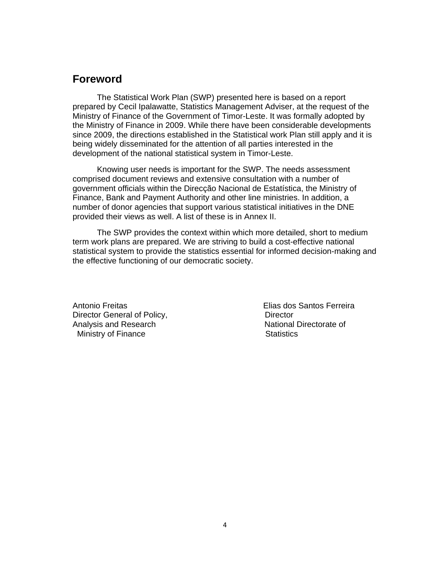## **Foreword**

The Statistical Work Plan (SWP) presented here is based on a report prepared by Cecil Ipalawatte, Statistics Management Adviser, at the request of the Ministry of Finance of the Government of Timor-Leste. It was formally adopted by the Ministry of Finance in 2009. While there have been considerable developments since 2009, the directions established in the Statistical work Plan still apply and it is being widely disseminated for the attention of all parties interested in the development of the national statistical system in Timor-Leste.

Knowing user needs is important for the SWP. The needs assessment comprised document reviews and extensive consultation with a number of government officials within the Direcção Nacional de Estatística, the Ministry of Finance, Bank and Payment Authority and other line ministries. In addition, a number of donor agencies that support various statistical initiatives in the DNE provided their views as well. A list of these is in Annex II.

The SWP provides the context within which more detailed, short to medium term work plans are prepared. We are striving to build a cost-effective national statistical system to provide the statistics essential for informed decision-making and the effective functioning of our democratic society.

Antonio Freitas **Elias dos Santos Ferreira** Director General of Policy, **Director** Director Analysis and Research National Directorate of Ministry of Finance Statistics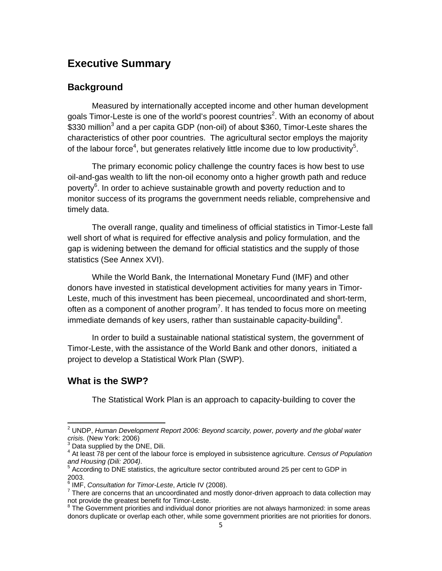## **Executive Summary**

## **Background**

Measured by internationally accepted income and other human development goals Timor-Leste is one of the world's poorest countries<sup>2</sup>. With an economy of about \$330 million<sup>3</sup> and a per capita GDP (non-oil) of about \$360, Timor-Leste shares the characteristics of other poor countries. The agricultural sector employs the majority of the labour force<sup>4</sup>, but generates relatively little income due to low productivity<sup>5</sup>.

The primary economic policy challenge the country faces is how best to use oil-and-gas wealth to lift the non-oil economy onto a higher growth path and reduce poverty<sup>6</sup>. In order to achieve sustainable growth and poverty reduction and to monitor success of its programs the government needs reliable, comprehensive and timely data.

The overall range, quality and timeliness of official statistics in Timor-Leste fall well short of what is required for effective analysis and policy formulation, and the gap is widening between the demand for official statistics and the supply of those statistics (See Annex XVI).

While the World Bank, the International Monetary Fund (IMF) and other donors have invested in statistical development activities for many years in Timor-Leste, much of this investment has been piecemeal, uncoordinated and short-term, often as a component of another program<sup>7</sup>. It has tended to focus more on meeting immediate demands of key users, rather than sustainable capacity-building<sup>8</sup>.

In order to build a sustainable national statistical system, the government of Timor-Leste, with the assistance of the World Bank and other donors, initiated a project to develop a Statistical Work Plan (SWP).

## **What is the SWP?**

The Statistical Work Plan is an approach to capacity-building to cover the

 2 UNDP, *Human Development Report 2006: Beyond scarcity, power, poverty and the global water crisis.* (New York: 2006)<br><sup>3</sup> Particulary 2006)

Data supplied by the DNE, Dili.

<sup>4</sup> At least 78 per cent of the labour force is employed in subsistence agriculture. *Census of Population*  and Housing (Dili: 2004).

According to DNE statistics, the agriculture sector contributed around 25 per cent to GDP in 2003.

<sup>&</sup>lt;sup>6</sup> IMF, *Consultation for Timor-Leste*, Article IV (2008).<br><sup>7</sup> There are concerne that an uncoordinated and mostly

 $7$  There are concerns that an uncoordinated and mostly donor-driven approach to data collection may not provide the greatest benefit for Timor-Leste.

<sup>8</sup> The Government priorities and individual donor priorities are not always harmonized: in some areas donors duplicate or overlap each other, while some government priorities are not priorities for donors.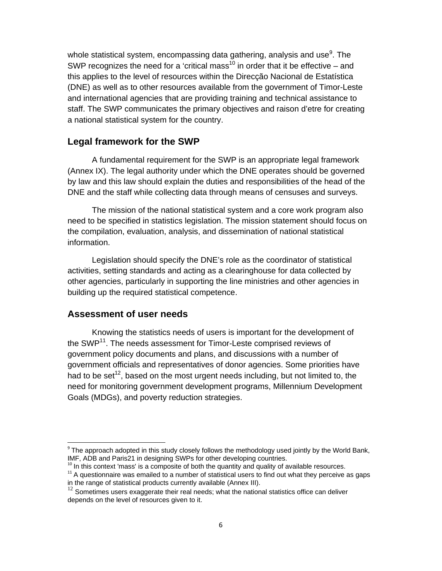whole statistical system, encompassing data gathering, analysis and use $9$ . The SWP recognizes the need for a 'critical mass<sup>10</sup> in order that it be effective – and this applies to the level of resources within the Direcção Nacional de Estatística (DNE) as well as to other resources available from the government of Timor-Leste and international agencies that are providing training and technical assistance to staff. The SWP communicates the primary objectives and raison d'etre for creating a national statistical system for the country.

## **Legal framework for the SWP**

A fundamental requirement for the SWP is an appropriate legal framework (Annex IX). The legal authority under which the DNE operates should be governed by law and this law should explain the duties and responsibilities of the head of the DNE and the staff while collecting data through means of censuses and surveys.

The mission of the national statistical system and a core work program also need to be specified in statistics legislation. The mission statement should focus on the compilation, evaluation, analysis, and dissemination of national statistical information.

Legislation should specify the DNE's role as the coordinator of statistical activities, setting standards and acting as a clearinghouse for data collected by other agencies, particularly in supporting the line ministries and other agencies in building up the required statistical competence.

## **Assessment of user needs**

Knowing the statistics needs of users is important for the development of the SWP<sup>11</sup>. The needs assessment for Timor-Leste comprised reviews of government policy documents and plans, and discussions with a number of government officials and representatives of donor agencies. Some priorities have had to be set<sup>12</sup>, based on the most urgent needs including, but not limited to, the need for monitoring government development programs, Millennium Development Goals (MDGs), and poverty reduction strategies.

 $10$  In this context 'mass' is a composite of both the quantity and quality of available resources.

 $9$  The approach adopted in this study closely follows the methodology used jointly by the World Bank, IMF, ADB and Paris21 in designing SWPs for other developing countries.

 $11$  A questionnaire was emailed to a number of statistical users to find out what they perceive as gaps in the range of statistical products currently available (Annex III).

 $12$  Sometimes users exaggerate their real needs; what the national statistics office can deliver depends on the level of resources given to it.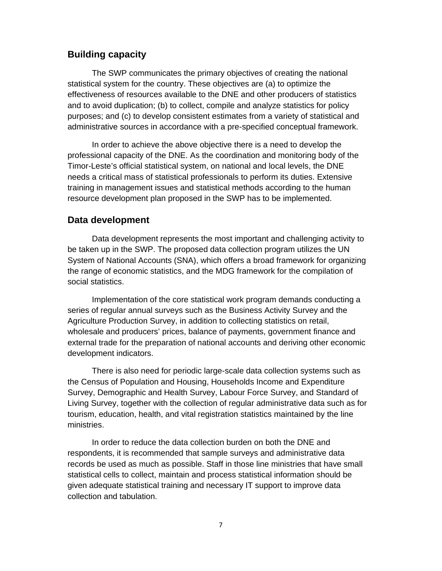## **Building capacity**

The SWP communicates the primary objectives of creating the national statistical system for the country. These objectives are (a) to optimize the effectiveness of resources available to the DNE and other producers of statistics and to avoid duplication; (b) to collect, compile and analyze statistics for policy purposes; and (c) to develop consistent estimates from a variety of statistical and administrative sources in accordance with a pre-specified conceptual framework.

In order to achieve the above objective there is a need to develop the professional capacity of the DNE. As the coordination and monitoring body of the Timor-Leste's official statistical system, on national and local levels, the DNE needs a critical mass of statistical professionals to perform its duties. Extensive training in management issues and statistical methods according to the human resource development plan proposed in the SWP has to be implemented.

## **Data development**

Data development represents the most important and challenging activity to be taken up in the SWP. The proposed data collection program utilizes the UN System of National Accounts (SNA), which offers a broad framework for organizing the range of economic statistics, and the MDG framework for the compilation of social statistics.

Implementation of the core statistical work program demands conducting a series of regular annual surveys such as the Business Activity Survey and the Agriculture Production Survey, in addition to collecting statistics on retail, wholesale and producers' prices, balance of payments, government finance and external trade for the preparation of national accounts and deriving other economic development indicators.

There is also need for periodic large-scale data collection systems such as the Census of Population and Housing, Households Income and Expenditure Survey, Demographic and Health Survey, Labour Force Survey, and Standard of Living Survey, together with the collection of regular administrative data such as for tourism, education, health, and vital registration statistics maintained by the line ministries.

In order to reduce the data collection burden on both the DNE and respondents, it is recommended that sample surveys and administrative data records be used as much as possible. Staff in those line ministries that have small statistical cells to collect, maintain and process statistical information should be given adequate statistical training and necessary IT support to improve data collection and tabulation.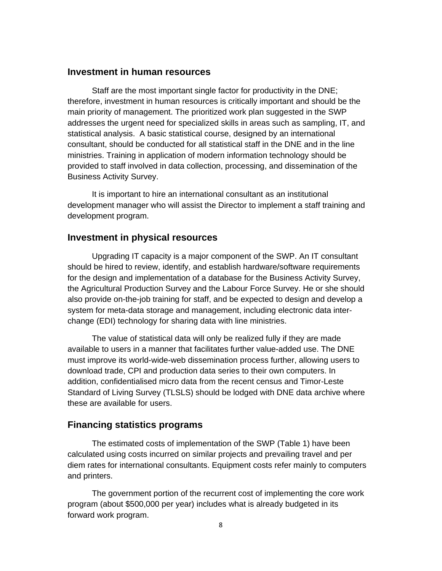## **Investment in human resources**

Staff are the most important single factor for productivity in the DNE; therefore, investment in human resources is critically important and should be the main priority of management. The prioritized work plan suggested in the SWP addresses the urgent need for specialized skills in areas such as sampling, IT, and statistical analysis. A basic statistical course, designed by an international consultant, should be conducted for all statistical staff in the DNE and in the line ministries. Training in application of modern information technology should be provided to staff involved in data collection, processing, and dissemination of the Business Activity Survey.

It is important to hire an international consultant as an institutional development manager who will assist the Director to implement a staff training and development program.

## **Investment in physical resources**

Upgrading IT capacity is a major component of the SWP. An IT consultant should be hired to review, identify, and establish hardware/software requirements for the design and implementation of a database for the Business Activity Survey, the Agricultural Production Survey and the Labour Force Survey. He or she should also provide on-the-job training for staff, and be expected to design and develop a system for meta-data storage and management, including electronic data interchange (EDI) technology for sharing data with line ministries.

The value of statistical data will only be realized fully if they are made available to users in a manner that facilitates further value-added use. The DNE must improve its world-wide-web dissemination process further, allowing users to download trade, CPI and production data series to their own computers. In addition, confidentialised micro data from the recent census and Timor-Leste Standard of Living Survey (TLSLS) should be lodged with DNE data archive where these are available for users.

## **Financing statistics programs**

The estimated costs of implementation of the SWP (Table 1) have been calculated using costs incurred on similar projects and prevailing travel and per diem rates for international consultants. Equipment costs refer mainly to computers and printers.

The government portion of the recurrent cost of implementing the core work program (about \$500,000 per year) includes what is already budgeted in its forward work program.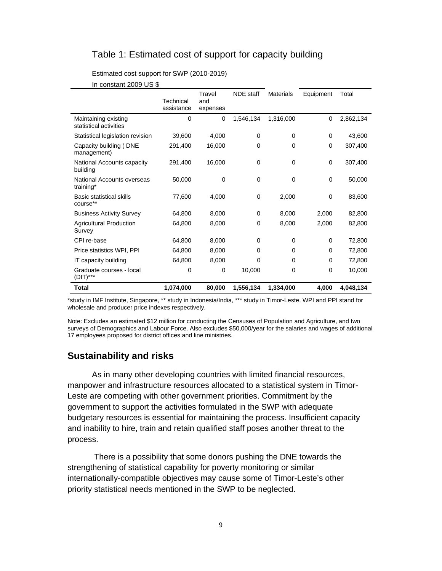## Table 1: Estimated cost of support for capacity building

Estimated cost support for SWP (2010-2019)

|                                                | Technical<br>assistance | Travel<br>and<br>expenses | <b>NDE</b> staff | <b>Materials</b> | Equipment | Total     |
|------------------------------------------------|-------------------------|---------------------------|------------------|------------------|-----------|-----------|
| Maintaining existing<br>statistical activities | $\mathbf 0$             | 0                         | 1,546,134        | 1,316,000        | 0         | 2,862,134 |
| Statistical legislation revision               | 39,600                  | 4,000                     | 0                | 0                | 0         | 43,600    |
| Capacity building (DNE<br>management)          | 291,400                 | 16,000                    | 0                | 0                | 0         | 307,400   |
| National Accounts capacity<br>building         | 291,400                 | 16,000                    | 0                | 0                | 0         | 307,400   |
| National Accounts overseas<br>training*        | 50,000                  | 0                         | 0                | 0                | 0         | 50,000    |
| Basic statistical skills<br>course**           | 77,600                  | 4,000                     | 0                | 2,000            | 0         | 83,600    |
| <b>Business Activity Survey</b>                | 64,800                  | 8,000                     | $\mathbf 0$      | 8,000            | 2,000     | 82,800    |
| <b>Agricultural Production</b><br>Survey       | 64,800                  | 8,000                     | 0                | 8,000            | 2,000     | 82,800    |
| CPI re-base                                    | 64,800                  | 8,000                     | $\Omega$         | $\Omega$         | $\Omega$  | 72,800    |
| Price statistics WPI, PPI                      | 64,800                  | 8,000                     | 0                | 0                | 0         | 72,800    |
| IT capacity building                           | 64,800                  | 8,000                     | 0                | 0                | $\Omega$  | 72,800    |
| Graduate courses - local<br>(DIT)***           | 0                       | 0                         | 10,000           | 0                | $\Omega$  | 10,000    |
| Total                                          | 1,074,000               | 80,000                    | 1,556,134        | 1,334,000        | 4,000     | 4,048,134 |

In constant 2009 US \$

\*study in IMF Institute, Singapore, \*\* study in Indonesia/India, \*\*\* study in Timor-Leste. WPI and PPI stand for wholesale and producer price indexes respectively.

Note: Excludes an estimated \$12 million for conducting the Censuses of Population and Agriculture, and two surveys of Demographics and Labour Force. Also excludes \$50,000/year for the salaries and wages of additional 17 employees proposed for district offices and line ministries.

## **Sustainability and risks**

As in many other developing countries with limited financial resources, manpower and infrastructure resources allocated to a statistical system in Timor-Leste are competing with other government priorities. Commitment by the government to support the activities formulated in the SWP with adequate budgetary resources is essential for maintaining the process. Insufficient capacity and inability to hire, train and retain qualified staff poses another threat to the process.

 There is a possibility that some donors pushing the DNE towards the strengthening of statistical capability for poverty monitoring or similar internationally-compatible objectives may cause some of Timor-Leste's other priority statistical needs mentioned in the SWP to be neglected.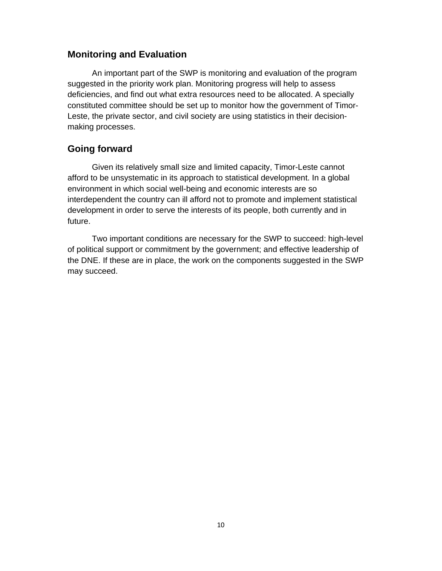## **Monitoring and Evaluation**

An important part of the SWP is monitoring and evaluation of the program suggested in the priority work plan. Monitoring progress will help to assess deficiencies, and find out what extra resources need to be allocated. A specially constituted committee should be set up to monitor how the government of Timor-Leste, the private sector, and civil society are using statistics in their decisionmaking processes.

## **Going forward**

Given its relatively small size and limited capacity, Timor-Leste cannot afford to be unsystematic in its approach to statistical development. In a global environment in which social well-being and economic interests are so interdependent the country can ill afford not to promote and implement statistical development in order to serve the interests of its people, both currently and in future.

Two important conditions are necessary for the SWP to succeed: high-level of political support or commitment by the government; and effective leadership of the DNE. If these are in place, the work on the components suggested in the SWP may succeed.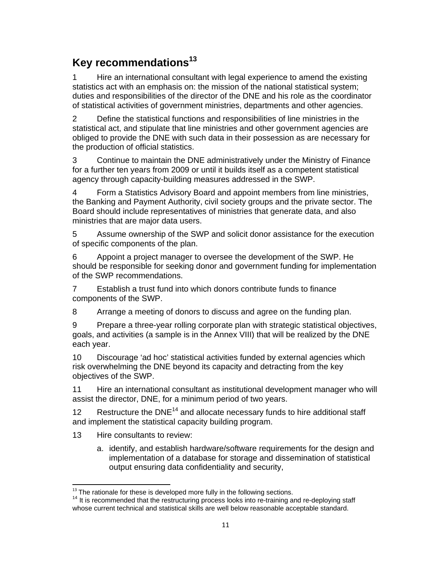## **Key recommendations13**

1 Hire an international consultant with legal experience to amend the existing statistics act with an emphasis on: the mission of the national statistical system; duties and responsibilities of the director of the DNE and his role as the coordinator of statistical activities of government ministries, departments and other agencies.

2 Define the statistical functions and responsibilities of line ministries in the statistical act, and stipulate that line ministries and other government agencies are obliged to provide the DNE with such data in their possession as are necessary for the production of official statistics.

3 Continue to maintain the DNE administratively under the Ministry of Finance for a further ten years from 2009 or until it builds itself as a competent statistical agency through capacity-building measures addressed in the SWP.

4 Form a Statistics Advisory Board and appoint members from line ministries, the Banking and Payment Authority, civil society groups and the private sector. The Board should include representatives of ministries that generate data, and also ministries that are major data users.

5 Assume ownership of the SWP and solicit donor assistance for the execution of specific components of the plan.

6 Appoint a project manager to oversee the development of the SWP. He should be responsible for seeking donor and government funding for implementation of the SWP recommendations.

7 Establish a trust fund into which donors contribute funds to finance components of the SWP.

8 Arrange a meeting of donors to discuss and agree on the funding plan.

9 Prepare a three-year rolling corporate plan with strategic statistical objectives, goals, and activities (a sample is in the Annex VIII) that will be realized by the DNE each year.

10 Discourage 'ad hoc' statistical activities funded by external agencies which risk overwhelming the DNE beyond its capacity and detracting from the key objectives of the SWP.

11 Hire an international consultant as institutional development manager who will assist the director, DNE, for a minimum period of two years.

12 Restructure the  $DNE^{14}$  and allocate necessary funds to hire additional staff and implement the statistical capacity building program.

13 Hire consultants to review:

a. identify, and establish hardware/software requirements for the design and implementation of a database for storage and dissemination of statistical output ensuring data confidentiality and security,

<sup>&</sup>lt;sup>13</sup> The rationale for these is developed more fully in the following sections.

 $14$  It is recommended that the restructuring process looks into re-training and re-deploying staff whose current technical and statistical skills are well below reasonable acceptable standard.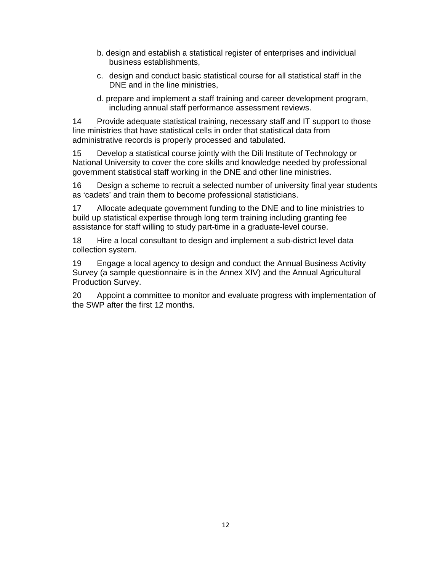- b. design and establish a statistical register of enterprises and individual business establishments,
- c. design and conduct basic statistical course for all statistical staff in the DNE and in the line ministries,
- d. prepare and implement a staff training and career development program, including annual staff performance assessment reviews.

14 Provide adequate statistical training, necessary staff and IT support to those line ministries that have statistical cells in order that statistical data from administrative records is properly processed and tabulated.

15 Develop a statistical course jointly with the Dili Institute of Technology or National University to cover the core skills and knowledge needed by professional government statistical staff working in the DNE and other line ministries.

16 Design a scheme to recruit a selected number of university final year students as 'cadets' and train them to become professional statisticians.

17 Allocate adequate government funding to the DNE and to line ministries to build up statistical expertise through long term training including granting fee assistance for staff willing to study part-time in a graduate-level course.

18 Hire a local consultant to design and implement a sub-district level data collection system.

19 Engage a local agency to design and conduct the Annual Business Activity Survey (a sample questionnaire is in the Annex XIV) and the Annual Agricultural Production Survey.

20 Appoint a committee to monitor and evaluate progress with implementation of the SWP after the first 12 months.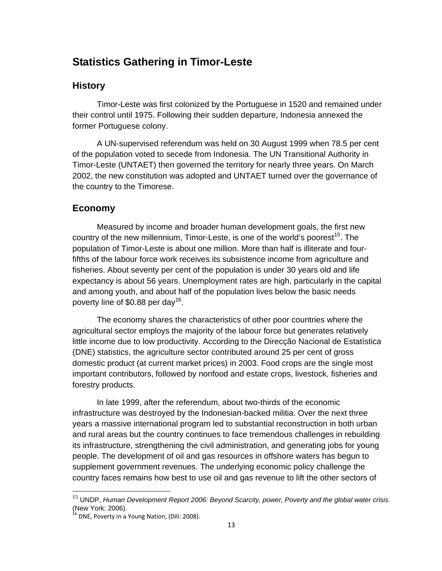## **Statistics Gathering in Timor-Leste**

## **History**

Timor-Leste was first colonized by the Portuguese in 1520 and remained under their control until 1975. Following their sudden departure, Indonesia annexed the former Portuguese colony.

A UN-supervised referendum was held on 30 August 1999 when 78.5 per cent of the population voted to secede from Indonesia. The UN Transitional Authority in Timor-Leste (UNTAET) then governed the territory for nearly three years. On March 2002, the new constitution was adopted and UNTAET turned over the governance of the country to the Timorese.

## **Economy**

Measured by income and broader human development goals, the first new country of the new millennium, Timor-Leste, is one of the world's poorest<sup>15</sup>. The population of Timor-Leste is about one million. More than half is illiterate and fourfifths of the labour force work receives its subsistence income from agriculture and fisheries. About seventy per cent of the population is under 30 years old and life expectancy is about 56 years. Unemployment rates are high, particularly in the capital and among youth, and about half of the population lives below the basic needs poverty line of \$0.88 per day<sup>16</sup>.

The economy shares the characteristics of other poor countries where the agricultural sector employs the majority of the labour force but generates relatively little income due to low productivity. According to the Direcção Nacional de Estatística (DNE) statistics, the agriculture sector contributed around 25 per cent of gross domestic product (at current market prices) in 2003. Food crops are the single most important contributors, followed by nonfood and estate crops, livestock, fisheries and forestry products.

In late 1999, after the referendum, about two-thirds of the economic infrastructure was destroyed by the Indonesian-backed militia. Over the next three years a massive international program led to substantial reconstruction in both urban and rural areas but the country continues to face tremendous challenges in rebuilding its infrastructure, strengthening the civil administration, and generating jobs for young people. The development of oil and gas resources in offshore waters has begun to supplement government revenues. The underlying economic policy challenge the country faces remains how best to use oil and gas revenue to lift the other sectors of

<sup>15</sup> UNDP, *Human Development Report 2006: Beyond Scarcity, power, Poverty and the global water crisis.*  (New York: 2006).

 $^{16}$  DNE, Poverty in a Young Nation, (Dili: 2008).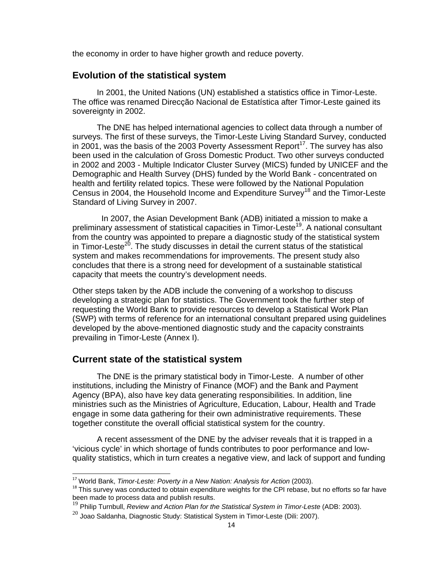the economy in order to have higher growth and reduce poverty.

## **Evolution of the statistical system**

In 2001, the United Nations (UN) established a statistics office in Timor-Leste. The office was renamed Direcção Nacional de Estatística after Timor-Leste gained its sovereignty in 2002.

The DNE has helped international agencies to collect data through a number of surveys. The first of these surveys, the Timor-Leste Living Standard Survey, conducted in 2001, was the basis of the 2003 Poverty Assessment Report<sup>17</sup>. The survey has also been used in the calculation of Gross Domestic Product. Two other surveys conducted in 2002 and 2003 - Multiple Indicator Cluster Survey (MICS) funded by UNICEF and the Demographic and Health Survey (DHS) funded by the World Bank - concentrated on health and fertility related topics. These were followed by the National Population Census in 2004, the Household Income and Expenditure Survey<sup>18</sup> and the Timor-Leste Standard of Living Survey in 2007.

 In 2007, the Asian Development Bank (ADB) initiated a mission to make a preliminary assessment of statistical capacities in Timor-Leste<sup>19</sup>. A national consultant from the country was appointed to prepare a diagnostic study of the statistical system in Timor-Leste<sup>20</sup>. The study discusses in detail the current status of the statistical system and makes recommendations for improvements. The present study also concludes that there is a strong need for development of a sustainable statistical capacity that meets the country's development needs.

Other steps taken by the ADB include the convening of a workshop to discuss developing a strategic plan for statistics. The Government took the further step of requesting the World Bank to provide resources to develop a Statistical Work Plan (SWP) with terms of reference for an international consultant prepared using guidelines developed by the above-mentioned diagnostic study and the capacity constraints prevailing in Timor-Leste (Annex I).

## **Current state of the statistical system**

The DNE is the primary statistical body in Timor-Leste. A number of other institutions, including the Ministry of Finance (MOF) and the Bank and Payment Agency (BPA), also have key data generating responsibilities. In addition, line ministries such as the Ministries of Agriculture, Education, Labour, Health and Trade engage in some data gathering for their own administrative requirements. These together constitute the overall official statistical system for the country.

A recent assessment of the DNE by the adviser reveals that it is trapped in a 'vicious cycle' in which shortage of funds contributes to poor performance and lowquality statistics, which in turn creates a negative view, and lack of support and funding

<sup>&</sup>lt;sup>17</sup> World Bank, *Timor-Leste: Poverty in a New Nation: Analysis for Action* (2003).

 $18$  This survey was conducted to obtain expenditure weights for the CPI rebase, but no efforts so far have been made to process data and publish results.

<sup>19</sup> Philip Turnbull, *Review and Action Plan for the Statistical System in Timor-Leste* (ADB: 2003).

 $^{20}$  Joao Saldanha, Diagnostic Study: Statistical System in Timor-Leste (Dili: 2007).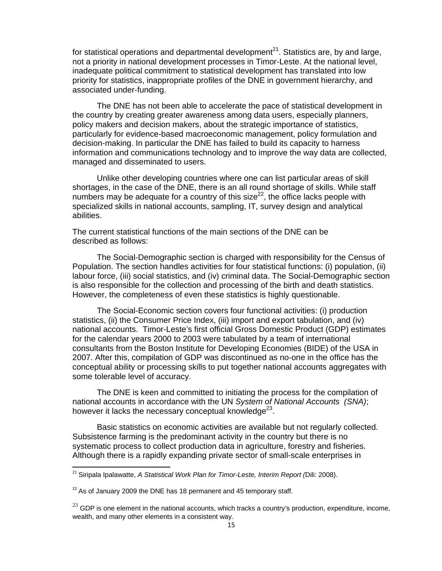for statistical operations and departmental development<sup>21</sup>. Statistics are, by and large, not a priority in national development processes in Timor-Leste. At the national level, inadequate political commitment to statistical development has translated into low priority for statistics, inappropriate profiles of the DNE in government hierarchy, and associated under-funding.

The DNE has not been able to accelerate the pace of statistical development in the country by creating greater awareness among data users, especially planners, policy makers and decision makers, about the strategic importance of statistics, particularly for evidence-based macroeconomic management, policy formulation and decision-making. In particular the DNE has failed to build its capacity to harness information and communications technology and to improve the way data are collected, managed and disseminated to users.

Unlike other developing countries where one can list particular areas of skill shortages, in the case of the DNE, there is an all round shortage of skills. While staff numbers may be adequate for a country of this size<sup>22</sup>, the office lacks people with specialized skills in national accounts, sampling, IT, survey design and analytical abilities.

The current statistical functions of the main sections of the DNE can be described as follows:

The Social-Demographic section is charged with responsibility for the Census of Population. The section handles activities for four statistical functions: (i) population, (ii) labour force, (iii) social statistics, and (iv) criminal data. The Social-Demographic section is also responsible for the collection and processing of the birth and death statistics. However, the completeness of even these statistics is highly questionable.

The Social-Economic section covers four functional activities: (i) production statistics, (ii) the Consumer Price Index, (iii) import and export tabulation, and (iv) national accounts. Timor-Leste's first official Gross Domestic Product (GDP) estimates for the calendar years 2000 to 2003 were tabulated by a team of international consultants from the Boston Institute for Developing Economies (BIDE) of the USA in 2007. After this, compilation of GDP was discontinued as no-one in the office has the conceptual ability or processing skills to put together national accounts aggregates with some tolerable level of accuracy.

The DNE is keen and committed to initiating the process for the compilation of national accounts in accordance with the UN *System of National Accounts (SNA)*; however it lacks the necessary conceptual knowledge<sup>23</sup>.

Basic statistics on economic activities are available but not regularly collected. Subsistence farming is the predominant activity in the country but there is no systematic process to collect production data in agriculture, forestry and fisheries. Although there is a rapidly expanding private sector of small-scale enterprises in

<sup>21</sup> Siripala Ipalawatte, *A Statistical Work Plan for Timor-Leste, Interim Report (*Dili: 2008).

 $22$  As of January 2009 the DNE has 18 permanent and 45 temporary staff.

 $23$  GDP is one element in the national accounts, which tracks a country's production, expenditure, income, wealth, and many other elements in a consistent way.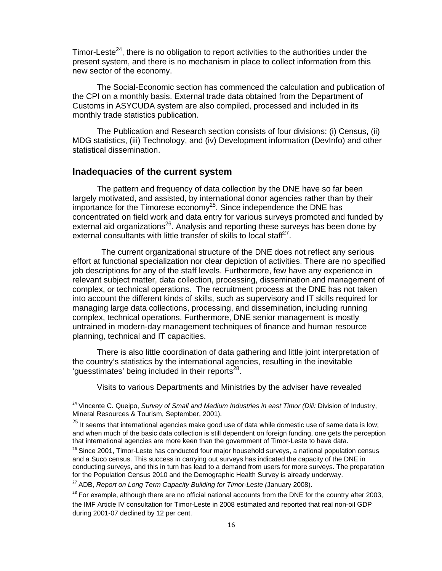Timor-Leste<sup>24</sup>, there is no obligation to report activities to the authorities under the present system, and there is no mechanism in place to collect information from this new sector of the economy.

The Social-Economic section has commenced the calculation and publication of the CPI on a monthly basis. External trade data obtained from the Department of Customs in ASYCUDA system are also compiled, processed and included in its monthly trade statistics publication.

The Publication and Research section consists of four divisions: (i) Census, (ii) MDG statistics, (iii) Technology, and (iv) Development information (DevInfo) and other statistical dissemination.

## **Inadequacies of the current system**

The pattern and frequency of data collection by the DNE have so far been largely motivated, and assisted, by international donor agencies rather than by their importance for the Timorese economy<sup>25</sup>. Since independence the DNE has concentrated on field work and data entry for various surveys promoted and funded by external aid organizations<sup>26</sup>. Analysis and reporting these surveys has been done by external consultants with little transfer of skills to local staff<sup>27</sup>.

 The current organizational structure of the DNE does not reflect any serious effort at functional specialization nor clear depiction of activities. There are no specified job descriptions for any of the staff levels. Furthermore, few have any experience in relevant subject matter, data collection, processing, dissemination and management of complex, or technical operations. The recruitment process at the DNE has not taken into account the different kinds of skills, such as supervisory and IT skills required for managing large data collections, processing, and dissemination, including running complex, technical operations. Furthermore, DNE senior management is mostly untrained in modern-day management techniques of finance and human resource planning, technical and IT capacities.

There is also little coordination of data gathering and little joint interpretation of the country's statistics by the international agencies, resulting in the inevitable 'quesstimates' being included in their reports<sup>28</sup>.

Visits to various Departments and Ministries by the adviser have revealed

<sup>&</sup>lt;sup>24</sup> Vincente C. Queipo, *Survey of Small and Medium Industries in east Timor (Dili: Division of Industry,* Mineral Resources & Tourism, September, 2001).

 $25$  It seems that international agencies make good use of data while domestic use of same data is low; and when much of the basic data collection is still dependent on foreign funding, one gets the perception that international agencies are more keen than the government of Timor-Leste to have data.

<sup>&</sup>lt;sup>26</sup> Since 2001, Timor-Leste has conducted four major household surveys, a national population census and a Suco census. This success in carrying out surveys has indicated the capacity of the DNE in conducting surveys, and this in turn has lead to a demand from users for more surveys. The preparation for the Population Census 2010 and the Demographic Health Survey is already underway.

<sup>27</sup> ADB, *Report on Long Term Capacity Building for Timor-Leste (*January 2008).

 $28$  For example, although there are no official national accounts from the DNE for the country after 2003, the IMF Article IV consultation for Timor-Leste in 2008 estimated and reported that real non-oil GDP during 2001-07 declined by 12 per cent.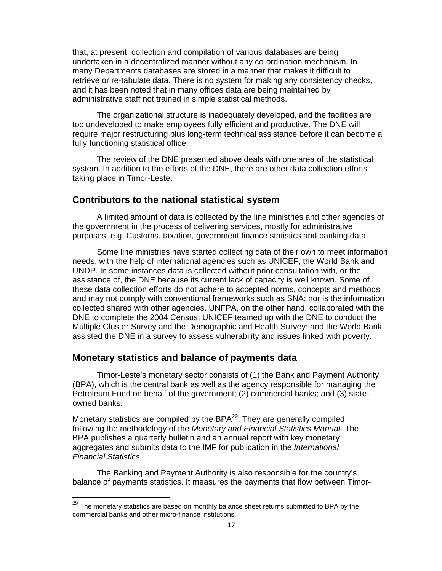that, at present, collection and compilation of various databases are being undertaken in a decentralized manner without any co-ordination mechanism. In many Departments databases are stored in a manner that makes it difficult to retrieve or re-tabulate data. There is no system for making any consistency checks, and it has been noted that in many offices data are being maintained by administrative staff not trained in simple statistical methods.

The organizational structure is inadequately developed, and the facilities are too undeveloped to make employees fully efficient and productive. The DNE will require major restructuring plus long-term technical assistance before it can become a fully functioning statistical office.

The review of the DNE presented above deals with one area of the statistical system. In addition to the efforts of the DNE, there are other data collection efforts taking place in Timor-Leste.

## **Contributors to the national statistical system**

A limited amount of data is collected by the line ministries and other agencies of the government in the process of delivering services, mostly for administrative purposes, e.g. Customs, taxation, government finance statistics and banking data.

Some line ministries have started collecting data of their own to meet information needs, with the help of international agencies such as UNICEF, the World Bank and UNDP. In some instances data is collected without prior consultation with, or the assistance of, the DNE because its current lack of capacity is well known. Some of these data collection efforts do not adhere to accepted norms, concepts and methods and may not comply with conventional frameworks such as SNA; nor is the information collected shared with other agencies. UNFPA, on the other hand, collaborated with the DNE to complete the 2004 Census; UNICEF teamed up with the DNE to conduct the Multiple Cluster Survey and the Demographic and Health Survey; and the World Bank assisted the DNE in a survey to assess vulnerability and issues linked with poverty.

## **Monetary statistics and balance of payments data**

Timor-Leste's monetary sector consists of (1) the Bank and Payment Authority (BPA), which is the central bank as well as the agency responsible for managing the Petroleum Fund on behalf of the government; (2) commercial banks; and (3) stateowned banks.

Monetary statistics are compiled by the  $BPA^{29}$ . They are generally compiled following the methodology of the *Monetary and Financial Statistics Manual*. The BPA publishes a quarterly bulletin and an annual report with key monetary aggregates and submits data to the IMF for publication in the *International Financial Statistics*.

The Banking and Payment Authority is also responsible for the country's balance of payments statistics. It measures the payments that flow between Timor-

 $^{29}$  The monetary statistics are based on monthly balance sheet returns submitted to BPA by the commercial banks and other micro-finance institutions.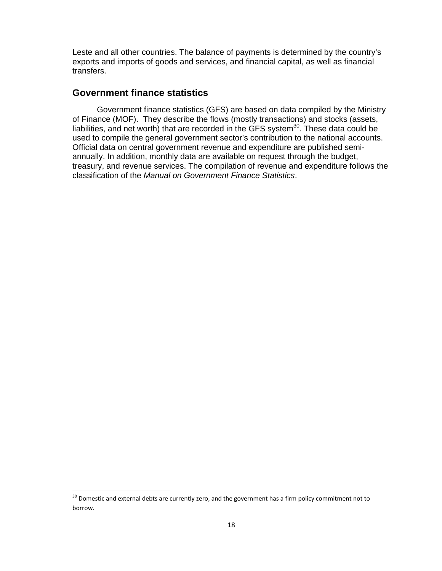Leste and all other countries. The balance of payments is determined by the country's exports and imports of goods and services, and financial capital, as well as financial transfers.

## **Government finance statistics**

Government finance statistics (GFS) are based on data compiled by the Ministry of Finance (MOF). They describe the flows (mostly transactions) and stocks (assets, liabilities, and net worth) that are recorded in the GFS system<sup>30</sup>. These data could be used to compile the general government sector's contribution to the national accounts. Official data on central government revenue and expenditure are published semiannually. In addition, monthly data are available on request through the budget, treasury, and revenue services. The compilation of revenue and expenditure follows the classification of the *Manual on Government Finance Statistics*.

 $30$  Domestic and external debts are currently zero, and the government has a firm policy commitment not to borrow.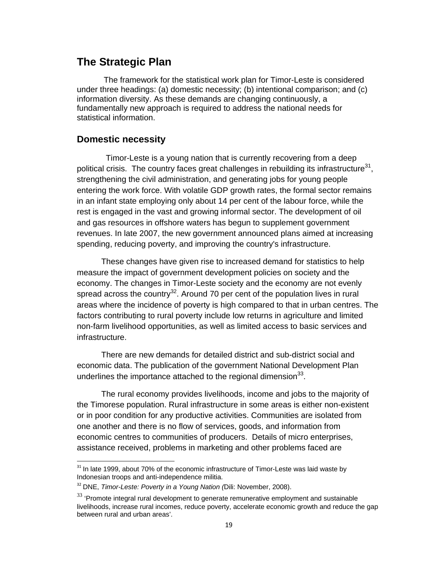## **The Strategic Plan**

The framework for the statistical work plan for Timor-Leste is considered under three headings: (a) domestic necessity; (b) intentional comparison; and (c) information diversity. As these demands are changing continuously, a fundamentally new approach is required to address the national needs for statistical information.

## **Domestic necessity**

 Timor-Leste is a young nation that is currently recovering from a deep political crisis. The country faces great challenges in rebuilding its infrastructure $31$ , strengthening the civil administration, and generating jobs for young people entering the work force. With volatile GDP growth rates, the formal sector remains in an infant state employing only about 14 per cent of the labour force, while the rest is engaged in the vast and growing informal sector. The development of oil and gas resources in offshore waters has begun to supplement government revenues. In late 2007, the new government announced plans aimed at increasing spending, reducing poverty, and improving the country's infrastructure.

These changes have given rise to increased demand for statistics to help measure the impact of government development policies on society and the economy. The changes in Timor-Leste society and the economy are not evenly spread across the country<sup>32</sup>. Around 70 per cent of the population lives in rural areas where the incidence of poverty is high compared to that in urban centres. The factors contributing to rural poverty include low returns in agriculture and limited non-farm livelihood opportunities, as well as limited access to basic services and infrastructure.

There are new demands for detailed district and sub-district social and economic data. The publication of the government National Development Plan underlines the importance attached to the regional dimension $^{33}$ .

The rural economy provides livelihoods, income and jobs to the majority of the Timorese population. Rural infrastructure in some areas is either non-existent or in poor condition for any productive activities. Communities are isolated from one another and there is no flow of services, goods, and information from economic centres to communities of producers. Details of micro enterprises, assistance received, problems in marketing and other problems faced are

 $31$  In late 1999, about 70% of the economic infrastructure of Timor-Leste was laid waste by Indonesian troops and anti-independence militia.

<sup>32</sup> DNE, *Timor-Leste: Poverty in a Young Nation (*Dili: November, 2008).

 $33$  'Promote integral rural development to generate remunerative employment and sustainable livelihoods, increase rural incomes, reduce poverty, accelerate economic growth and reduce the gap between rural and urban areas'.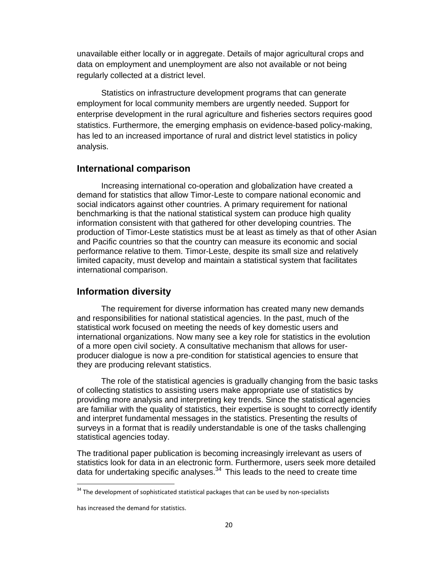unavailable either locally or in aggregate. Details of major agricultural crops and data on employment and unemployment are also not available or not being regularly collected at a district level.

Statistics on infrastructure development programs that can generate employment for local community members are urgently needed. Support for enterprise development in the rural agriculture and fisheries sectors requires good statistics. Furthermore, the emerging emphasis on evidence-based policy-making, has led to an increased importance of rural and district level statistics in policy analysis.

## **International comparison**

Increasing international co-operation and globalization have created a demand for statistics that allow Timor-Leste to compare national economic and social indicators against other countries. A primary requirement for national benchmarking is that the national statistical system can produce high quality information consistent with that gathered for other developing countries. The production of Timor-Leste statistics must be at least as timely as that of other Asian and Pacific countries so that the country can measure its economic and social performance relative to them. Timor-Leste, despite its small size and relatively limited capacity, must develop and maintain a statistical system that facilitates international comparison.

## **Information diversity**

The requirement for diverse information has created many new demands and responsibilities for national statistical agencies. In the past, much of the statistical work focused on meeting the needs of key domestic users and international organizations. Now many see a key role for statistics in the evolution of a more open civil society. A consultative mechanism that allows for userproducer dialogue is now a pre-condition for statistical agencies to ensure that they are producing relevant statistics.

The role of the statistical agencies is gradually changing from the basic tasks of collecting statistics to assisting users make appropriate use of statistics by providing more analysis and interpreting key trends. Since the statistical agencies are familiar with the quality of statistics, their expertise is sought to correctly identify and interpret fundamental messages in the statistics. Presenting the results of surveys in a format that is readily understandable is one of the tasks challenging statistical agencies today.

The traditional paper publication is becoming increasingly irrelevant as users of statistics look for data in an electronic form. Furthermore, users seek more detailed data for undertaking specific analyses. $34$  This leads to the need to create time

<sup>&</sup>lt;sup>34</sup> The development of sophisticated statistical packages that can be used by non-specialists

has increased the demand for statistics.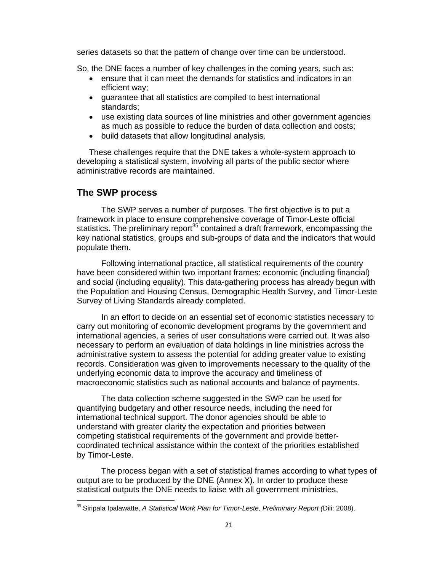series datasets so that the pattern of change over time can be understood.

So, the DNE faces a number of key challenges in the coming years, such as:

- ensure that it can meet the demands for statistics and indicators in an efficient way;
- guarantee that all statistics are compiled to best international standards;
- use existing data sources of line ministries and other government agencies as much as possible to reduce the burden of data collection and costs;
- build datasets that allow longitudinal analysis.

These challenges require that the DNE takes a whole-system approach to developing a statistical system, involving all parts of the public sector where administrative records are maintained.

## **The SWP process**

The SWP serves a number of purposes. The first objective is to put a framework in place to ensure comprehensive coverage of Timor-Leste official statistics. The preliminary report<sup>35</sup> contained a draft framework, encompassing the key national statistics, groups and sub-groups of data and the indicators that would populate them.

Following international practice, all statistical requirements of the country have been considered within two important frames: economic (including financial) and social (including equality). This data-gathering process has already begun with the Population and Housing Census, Demographic Health Survey, and Timor-Leste Survey of Living Standards already completed.

In an effort to decide on an essential set of economic statistics necessary to carry out monitoring of economic development programs by the government and international agencies, a series of user consultations were carried out. It was also necessary to perform an evaluation of data holdings in line ministries across the administrative system to assess the potential for adding greater value to existing records. Consideration was given to improvements necessary to the quality of the underlying economic data to improve the accuracy and timeliness of macroeconomic statistics such as national accounts and balance of payments.

The data collection scheme suggested in the SWP can be used for quantifying budgetary and other resource needs, including the need for international technical support. The donor agencies should be able to understand with greater clarity the expectation and priorities between competing statistical requirements of the government and provide bettercoordinated technical assistance within the context of the priorities established by Timor-Leste.

The process began with a set of statistical frames according to what types of output are to be produced by the DNE (Annex X). In order to produce these statistical outputs the DNE needs to liaise with all government ministries,

<sup>35</sup> Siripala Ipalawatte, *A Statistical Work Plan for Timor-Leste, Preliminary Report (*Dili: 2008).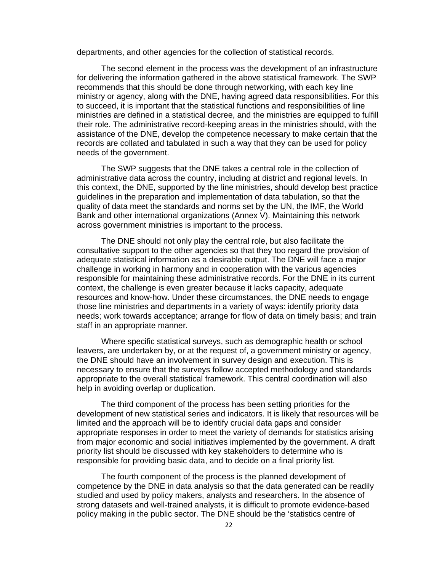departments, and other agencies for the collection of statistical records.

The second element in the process was the development of an infrastructure for delivering the information gathered in the above statistical framework. The SWP recommends that this should be done through networking, with each key line ministry or agency, along with the DNE, having agreed data responsibilities. For this to succeed, it is important that the statistical functions and responsibilities of line ministries are defined in a statistical decree, and the ministries are equipped to fulfill their role. The administrative record-keeping areas in the ministries should, with the assistance of the DNE, develop the competence necessary to make certain that the records are collated and tabulated in such a way that they can be used for policy needs of the government.

The SWP suggests that the DNE takes a central role in the collection of administrative data across the country, including at district and regional levels. In this context, the DNE, supported by the line ministries, should develop best practice guidelines in the preparation and implementation of data tabulation, so that the quality of data meet the standards and norms set by the UN, the IMF, the World Bank and other international organizations (Annex V). Maintaining this network across government ministries is important to the process.

The DNE should not only play the central role, but also facilitate the consultative support to the other agencies so that they too regard the provision of adequate statistical information as a desirable output. The DNE will face a major challenge in working in harmony and in cooperation with the various agencies responsible for maintaining these administrative records. For the DNE in its current context, the challenge is even greater because it lacks capacity, adequate resources and know-how. Under these circumstances, the DNE needs to engage those line ministries and departments in a variety of ways: identify priority data needs; work towards acceptance; arrange for flow of data on timely basis; and train staff in an appropriate manner.

Where specific statistical surveys, such as demographic health or school leavers, are undertaken by, or at the request of, a government ministry or agency, the DNE should have an involvement in survey design and execution. This is necessary to ensure that the surveys follow accepted methodology and standards appropriate to the overall statistical framework. This central coordination will also help in avoiding overlap or duplication.

The third component of the process has been setting priorities for the development of new statistical series and indicators. It is likely that resources will be limited and the approach will be to identify crucial data gaps and consider appropriate responses in order to meet the variety of demands for statistics arising from major economic and social initiatives implemented by the government. A draft priority list should be discussed with key stakeholders to determine who is responsible for providing basic data, and to decide on a final priority list.

The fourth component of the process is the planned development of competence by the DNE in data analysis so that the data generated can be readily studied and used by policy makers, analysts and researchers. In the absence of strong datasets and well-trained analysts, it is difficult to promote evidence-based policy making in the public sector. The DNE should be the 'statistics centre of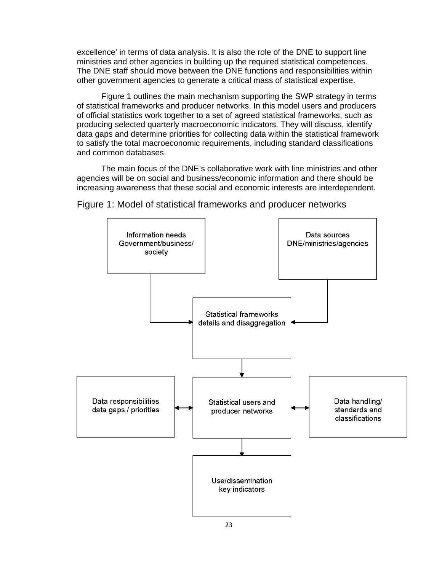excellence' in terms of data analysis. It is also the role of the DNE to support line ministries and other agencies in building up the required statistical competences. The DNE staff should move between the DNE functions and responsibilities within other government agencies to generate a critical mass of statistical expertise.

Figure 1 outlines the main mechanism supporting the SWP strategy in terms of statistical frameworks and producer networks. In this model users and producers of official statistics work together to a set of agreed statistical frameworks, such as producing selected quarterly macroeconomic indicators. They will discuss, identify data gaps and determine priorities for collecting data within the statistical framework to satisfy the total macroeconomic requirements, including standard classifications and common databases.

The main focus of the DNE's collaborative work with line ministries and other agencies will be on social and business/economic information and there should be increasing awareness that these social and economic interests are interdependent.



Figure 1: Model of statistical frameworks and producer networks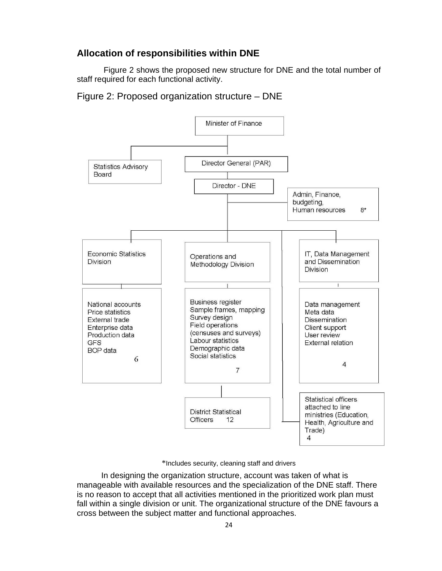## **Allocation of responsibilities within DNE**

Figure 2 shows the proposed new structure for DNE and the total number of staff required for each functional activity.

Figure 2: Proposed organization structure – DNE



\*Includes security, cleaning staff and drivers

In designing the organization structure, account was taken of what is manageable with available resources and the specialization of the DNE staff. There is no reason to accept that all activities mentioned in the prioritized work plan must fall within a single division or unit. The organizational structure of the DNE favours a cross between the subject matter and functional approaches.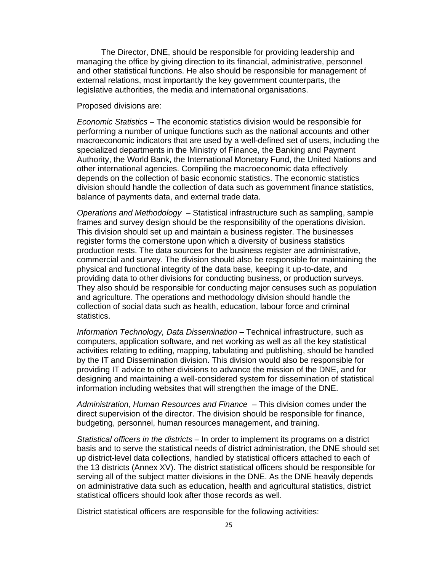The Director, DNE, should be responsible for providing leadership and managing the office by giving direction to its financial, administrative, personnel and other statistical functions. He also should be responsible for management of external relations, most importantly the key government counterparts, the legislative authorities, the media and international organisations.

#### Proposed divisions are:

*Economic Statistics* – The economic statistics division would be responsible for performing a number of unique functions such as the national accounts and other macroeconomic indicators that are used by a well-defined set of users, including the specialized departments in the Ministry of Finance, the Banking and Payment Authority, the World Bank, the International Monetary Fund, the United Nations and other international agencies. Compiling the macroeconomic data effectively depends on the collection of basic economic statistics. The economic statistics division should handle the collection of data such as government finance statistics, balance of payments data, and external trade data.

*Operations and Methodology* – Statistical infrastructure such as sampling, sample frames and survey design should be the responsibility of the operations division. This division should set up and maintain a business register. The businesses register forms the cornerstone upon which a diversity of business statistics production rests. The data sources for the business register are administrative, commercial and survey. The division should also be responsible for maintaining the physical and functional integrity of the data base, keeping it up-to-date, and providing data to other divisions for conducting business, or production surveys. They also should be responsible for conducting major censuses such as population and agriculture. The operations and methodology division should handle the collection of social data such as health, education, labour force and criminal statistics.

*Information Technology, Data Dissemination* – Technical infrastructure, such as computers, application software, and net working as well as all the key statistical activities relating to editing, mapping, tabulating and publishing, should be handled by the IT and Dissemination division. This division would also be responsible for providing IT advice to other divisions to advance the mission of the DNE, and for designing and maintaining a well-considered system for dissemination of statistical information including websites that will strengthen the image of the DNE.

*Administration, Human Resources and Finance* – This division comes under the direct supervision of the director. The division should be responsible for finance, budgeting, personnel, human resources management, and training.

*Statistical officers in the districts* – In order to implement its programs on a district basis and to serve the statistical needs of district administration, the DNE should set up district-level data collections, handled by statistical officers attached to each of the 13 districts (Annex XV). The district statistical officers should be responsible for serving all of the subject matter divisions in the DNE. As the DNE heavily depends on administrative data such as education, health and agricultural statistics, district statistical officers should look after those records as well.

District statistical officers are responsible for the following activities: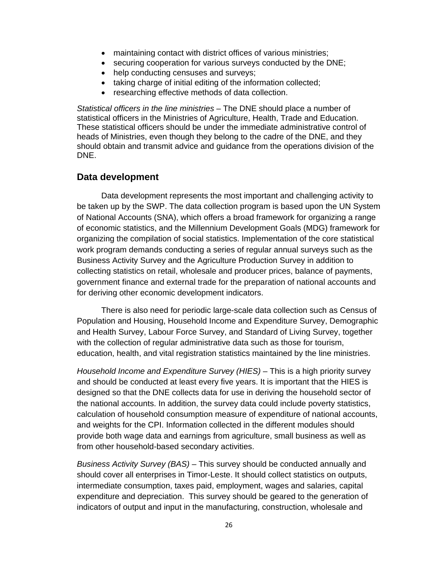- maintaining contact with district offices of various ministries;
- securing cooperation for various surveys conducted by the DNE;
- help conducting censuses and surveys;
- taking charge of initial editing of the information collected;
- researching effective methods of data collection.

*Statistical officers in the line ministries* – The DNE should place a number of statistical officers in the Ministries of Agriculture, Health, Trade and Education. These statistical officers should be under the immediate administrative control of heads of Ministries, even though they belong to the cadre of the DNE, and they should obtain and transmit advice and guidance from the operations division of the DNE.

## **Data development**

Data development represents the most important and challenging activity to be taken up by the SWP. The data collection program is based upon the UN System of National Accounts (SNA), which offers a broad framework for organizing a range of economic statistics, and the Millennium Development Goals (MDG) framework for organizing the compilation of social statistics. Implementation of the core statistical work program demands conducting a series of regular annual surveys such as the Business Activity Survey and the Agriculture Production Survey in addition to collecting statistics on retail, wholesale and producer prices, balance of payments, government finance and external trade for the preparation of national accounts and for deriving other economic development indicators.

There is also need for periodic large-scale data collection such as Census of Population and Housing, Household Income and Expenditure Survey, Demographic and Health Survey, Labour Force Survey, and Standard of Living Survey, together with the collection of regular administrative data such as those for tourism, education, health, and vital registration statistics maintained by the line ministries.

*Household Income and Expenditure Survey (HIES)* – This is a high priority survey and should be conducted at least every five years. It is important that the HIES is designed so that the DNE collects data for use in deriving the household sector of the national accounts. In addition, the survey data could include poverty statistics, calculation of household consumption measure of expenditure of national accounts, and weights for the CPI. Information collected in the different modules should provide both wage data and earnings from agriculture, small business as well as from other household-based secondary activities.

*Business Activity Survey (BAS)* – This survey should be conducted annually and should cover all enterprises in Timor-Leste. It should collect statistics on outputs, intermediate consumption, taxes paid, employment, wages and salaries, capital expenditure and depreciation. This survey should be geared to the generation of indicators of output and input in the manufacturing, construction, wholesale and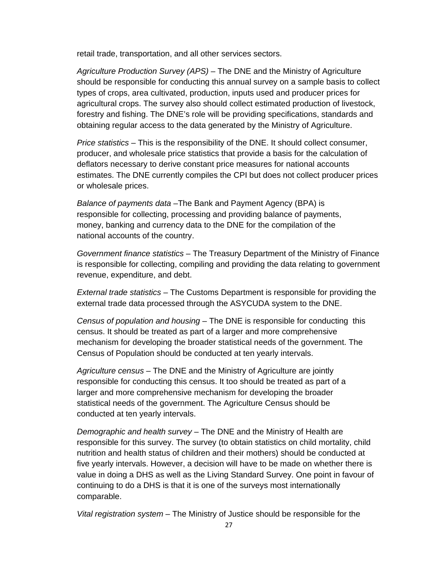retail trade, transportation, and all other services sectors.

*Agriculture Production Survey (APS)* – The DNE and the Ministry of Agriculture should be responsible for conducting this annual survey on a sample basis to collect types of crops, area cultivated, production, inputs used and producer prices for agricultural crops. The survey also should collect estimated production of livestock, forestry and fishing. The DNE's role will be providing specifications, standards and obtaining regular access to the data generated by the Ministry of Agriculture.

*Price statistics* – This is the responsibility of the DNE. It should collect consumer, producer, and wholesale price statistics that provide a basis for the calculation of deflators necessary to derive constant price measures for national accounts estimates. The DNE currently compiles the CPI but does not collect producer prices or wholesale prices.

*Balance of payments data* –The Bank and Payment Agency (BPA) is responsible for collecting, processing and providing balance of payments, money, banking and currency data to the DNE for the compilation of the national accounts of the country.

*Government finance statistics* – The Treasury Department of the Ministry of Finance is responsible for collecting, compiling and providing the data relating to government revenue, expenditure, and debt.

*External trade statistics* – The Customs Department is responsible for providing the external trade data processed through the ASYCUDA system to the DNE.

*Census of population and housing* – The DNE is responsible for conducting this census. It should be treated as part of a larger and more comprehensive mechanism for developing the broader statistical needs of the government. The Census of Population should be conducted at ten yearly intervals.

*Agriculture census* – The DNE and the Ministry of Agriculture are jointly responsible for conducting this census. It too should be treated as part of a larger and more comprehensive mechanism for developing the broader statistical needs of the government. The Agriculture Census should be conducted at ten yearly intervals.

*Demographic and health survey* – The DNE and the Ministry of Health are responsible for this survey. The survey (to obtain statistics on child mortality, child nutrition and health status of children and their mothers) should be conducted at five yearly intervals. However, a decision will have to be made on whether there is value in doing a DHS as well as the Living Standard Survey. One point in favour of continuing to do a DHS is that it is one of the surveys most internationally comparable.

*Vital registration system* – The Ministry of Justice should be responsible for the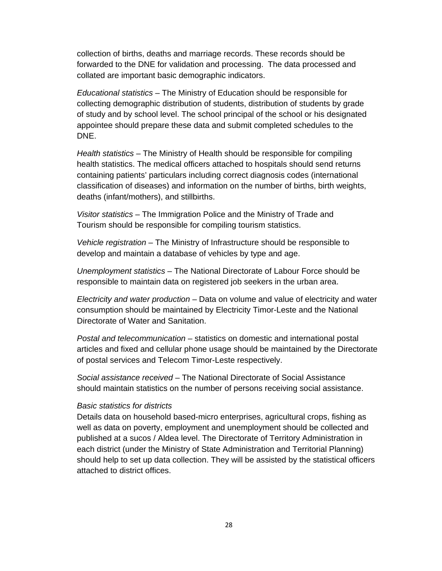collection of births, deaths and marriage records. These records should be forwarded to the DNE for validation and processing. The data processed and collated are important basic demographic indicators.

*Educational statistics* – The Ministry of Education should be responsible for collecting demographic distribution of students, distribution of students by grade of study and by school level. The school principal of the school or his designated appointee should prepare these data and submit completed schedules to the DNE.

*Health statistics* – The Ministry of Health should be responsible for compiling health statistics. The medical officers attached to hospitals should send returns containing patients' particulars including correct diagnosis codes (international classification of diseases) and information on the number of births, birth weights, deaths (infant/mothers), and stillbirths.

*Visitor statistics* – The Immigration Police and the Ministry of Trade and Tourism should be responsible for compiling tourism statistics.

*Vehicle registration* – The Ministry of Infrastructure should be responsible to develop and maintain a database of vehicles by type and age.

*Unemployment statistics* – The National Directorate of Labour Force should be responsible to maintain data on registered job seekers in the urban area.

*Electricity and water production* – Data on volume and value of electricity and water consumption should be maintained by Electricity Timor-Leste and the National Directorate of Water and Sanitation.

*Postal and telecommunication* – statistics on domestic and international postal articles and fixed and cellular phone usage should be maintained by the Directorate of postal services and Telecom Timor-Leste respectively.

*Social assistance received* – The National Directorate of Social Assistance should maintain statistics on the number of persons receiving social assistance.

## *Basic statistics for districts*

Details data on household based-micro enterprises, agricultural crops, fishing as well as data on poverty, employment and unemployment should be collected and published at a sucos / Aldea level. The Directorate of Territory Administration in each district (under the Ministry of State Administration and Territorial Planning) should help to set up data collection. They will be assisted by the statistical officers attached to district offices.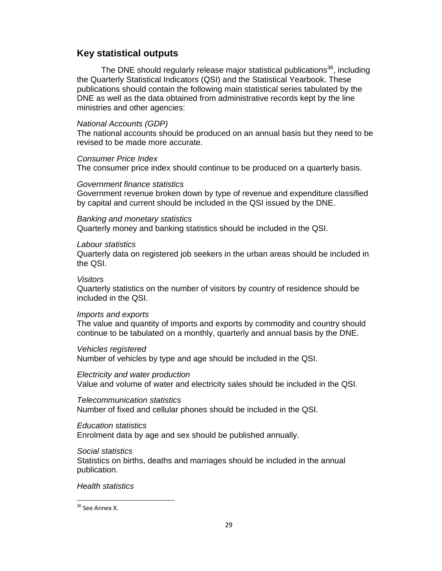## **Key statistical outputs**

The DNE should regularly release major statistical publications<sup>36</sup>, including the Quarterly Statistical Indicators (QSI) and the Statistical Yearbook. These publications should contain the following main statistical series tabulated by the DNE as well as the data obtained from administrative records kept by the line ministries and other agencies:

## *National Accounts (GDP)*

The national accounts should be produced on an annual basis but they need to be revised to be made more accurate.

## *Consumer Price Index*

The consumer price index should continue to be produced on a quarterly basis.

## *Government finance statistics*

Government revenue broken down by type of revenue and expenditure classified by capital and current should be included in the QSI issued by the DNE.

## *Banking and monetary statistics*

Quarterly money and banking statistics should be included in the QSI.

## *Labour statistics*

Quarterly data on registered job seekers in the urban areas should be included in the QSI.

## *Visitors*

Quarterly statistics on the number of visitors by country of residence should be included in the QSI.

## *Imports and exports*

The value and quantity of imports and exports by commodity and country should continue to be tabulated on a monthly, quarterly and annual basis by the DNE.

## *Vehicles registered*

Number of vehicles by type and age should be included in the QSI.

## *Electricity and water production*

Value and volume of water and electricity sales should be included in the QSI.

## *Telecommunication statistics*

Number of fixed and cellular phones should be included in the QSI.

## *Education statistics*

Enrolment data by age and sex should be published annually.

## *Social statistics*

Statistics on births, deaths and marriages should be included in the annual publication.

## *Health statistics*

#### <sup>36</sup> See Annex X.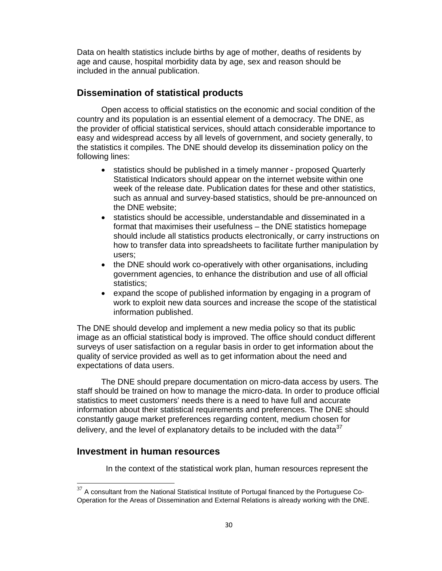Data on health statistics include births by age of mother, deaths of residents by age and cause, hospital morbidity data by age, sex and reason should be included in the annual publication.

## **Dissemination of statistical products**

Open access to official statistics on the economic and social condition of the country and its population is an essential element of a democracy. The DNE, as the provider of official statistical services, should attach considerable importance to easy and widespread access by all levels of government, and society generally, to the statistics it compiles. The DNE should develop its dissemination policy on the following lines:

- statistics should be published in a timely manner proposed Quarterly Statistical Indicators should appear on the internet website within one week of the release date. Publication dates for these and other statistics, such as annual and survey-based statistics, should be pre-announced on the DNE website;
- statistics should be accessible, understandable and disseminated in a format that maximises their usefulness – the DNE statistics homepage should include all statistics products electronically, or carry instructions on how to transfer data into spreadsheets to facilitate further manipulation by users;
- the DNE should work co-operatively with other organisations, including government agencies, to enhance the distribution and use of all official statistics;
- expand the scope of published information by engaging in a program of work to exploit new data sources and increase the scope of the statistical information published.

The DNE should develop and implement a new media policy so that its public image as an official statistical body is improved. The office should conduct different surveys of user satisfaction on a regular basis in order to get information about the quality of service provided as well as to get information about the need and expectations of data users.

The DNE should prepare documentation on micro-data access by users. The staff should be trained on how to manage the micro-data. In order to produce official statistics to meet customers' needs there is a need to have full and accurate information about their statistical requirements and preferences. The DNE should constantly gauge market preferences regarding content, medium chosen for delivery, and the level of explanatory details to be included with the data $37$ 

## **Investment in human resources**

In the context of the statistical work plan, human resources represent the

 $37$  A consultant from the National Statistical Institute of Portugal financed by the Portuguese Co-Operation for the Areas of Dissemination and External Relations is already working with the DNE.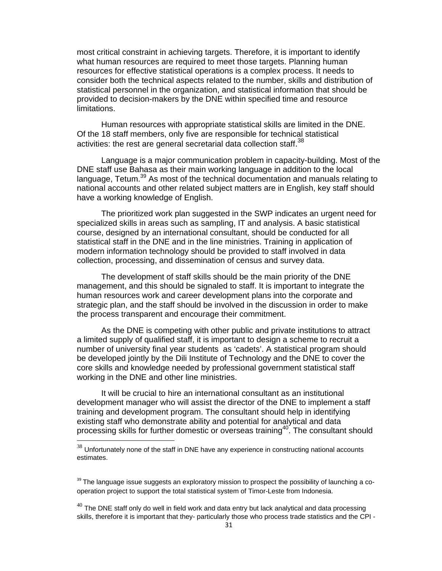most critical constraint in achieving targets. Therefore, it is important to identify what human resources are required to meet those targets. Planning human resources for effective statistical operations is a complex process. It needs to consider both the technical aspects related to the number, skills and distribution of statistical personnel in the organization, and statistical information that should be provided to decision-makers by the DNE within specified time and resource limitations.

Human resources with appropriate statistical skills are limited in the DNE. Of the 18 staff members, only five are responsible for technical statistical activities: the rest are general secretarial data collection staff.<sup>38</sup>

Language is a major communication problem in capacity-building. Most of the DNE staff use Bahasa as their main working language in addition to the local language, Tetum.<sup>39</sup> As most of the technical documentation and manuals relating to national accounts and other related subject matters are in English, key staff should have a working knowledge of English.

The prioritized work plan suggested in the SWP indicates an urgent need for specialized skills in areas such as sampling, IT and analysis. A basic statistical course, designed by an international consultant, should be conducted for all statistical staff in the DNE and in the line ministries. Training in application of modern information technology should be provided to staff involved in data collection, processing, and dissemination of census and survey data.

The development of staff skills should be the main priority of the DNE management, and this should be signaled to staff. It is important to integrate the human resources work and career development plans into the corporate and strategic plan, and the staff should be involved in the discussion in order to make the process transparent and encourage their commitment.

As the DNE is competing with other public and private institutions to attract a limited supply of qualified staff, it is important to design a scheme to recruit a number of university final year students as 'cadets'. A statistical program should be developed jointly by the Dili Institute of Technology and the DNE to cover the core skills and knowledge needed by professional government statistical staff working in the DNE and other line ministries.

It will be crucial to hire an international consultant as an institutional development manager who will assist the director of the DNE to implement a staff training and development program. The consultant should help in identifying existing staff who demonstrate ability and potential for analytical and data processing skills for further domestic or overseas training<sup>40</sup>. The consultant should

 $38$  Unfortunately none of the staff in DNE have any experience in constructing national accounts estimates.

 $39$  The language issue suggests an exploratory mission to prospect the possibility of launching a cooperation project to support the total statistical system of Timor-Leste from Indonesia.

 $^{40}$  The DNE staff only do well in field work and data entry but lack analytical and data processing skills, therefore it is important that they- particularly those who process trade statistics and the CPI -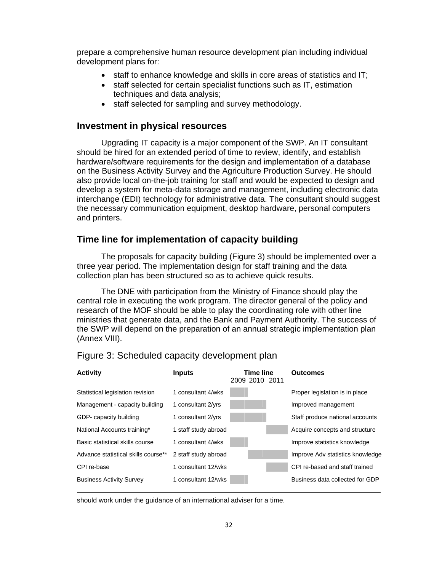prepare a comprehensive human resource development plan including individual development plans for:

- staff to enhance knowledge and skills in core areas of statistics and IT;
- staff selected for certain specialist functions such as IT, estimation techniques and data analysis;
- staff selected for sampling and survey methodology.

## **Investment in physical resources**

Upgrading IT capacity is a major component of the SWP. An IT consultant should be hired for an extended period of time to review, identify, and establish hardware/software requirements for the design and implementation of a database on the Business Activity Survey and the Agriculture Production Survey. He should also provide local on-the-job training for staff and would be expected to design and develop a system for meta-data storage and management, including electronic data interchange (EDI) technology for administrative data. The consultant should suggest the necessary communication equipment, desktop hardware, personal computers and printers.

## **Time line for implementation of capacity building**

The proposals for capacity building (Figure 3) should be implemented over a three year period. The implementation design for staff training and the data collection plan has been structured so as to achieve quick results.

The DNE with participation from the Ministry of Finance should play the central role in executing the work program. The director general of the policy and research of the MOF should be able to play the coordinating role with other line ministries that generate data, and the Bank and Payment Authority. The success of the SWP will depend on the preparation of an annual strategic implementation plan (Annex VIII).



Figure 3: Scheduled capacity development plan

should work under the guidance of an international adviser for a time.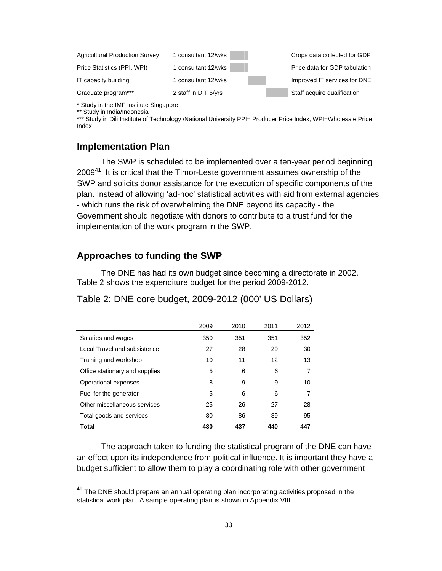| <b>Agricultural Production Survey</b> | 1 consultant 12/wks  | Crops data collected for GDP  |
|---------------------------------------|----------------------|-------------------------------|
| Price Statistics (PPI, WPI)           | 1 consultant 12/wks  | Price data for GDP tabulation |
| IT capacity building                  | 1 consultant 12/wks  | Improved IT services for DNE  |
| Graduate program***                   | 2 staff in DIT 5/yrs | Staff acquire qualification   |

\* Study in the IMF Institute Singapore

\*\* Study in India/Indonesia

\*\*\* Study in Dili Institute of Technology /National University PPI= Producer Price Index, WPI=Wholesale Price Index

## **Implementation Plan**

The SWP is scheduled to be implemented over a ten-year period beginning 2009<sup>41</sup>. It is critical that the Timor-Leste government assumes ownership of the SWP and solicits donor assistance for the execution of specific components of the plan. Instead of allowing 'ad-hoc' statistical activities with aid from external agencies - which runs the risk of overwhelming the DNE beyond its capacity - the Government should negotiate with donors to contribute to a trust fund for the implementation of the work program in the SWP.

## **Approaches to funding the SWP**

The DNE has had its own budget since becoming a directorate in 2002. Table 2 shows the expenditure budget for the period 2009-2012.

|  | Table 2: DNE core budget, 2009-2012 (000' US Dollars) |
|--|-------------------------------------------------------|
|--|-------------------------------------------------------|

|                                | 2009 | 2010 | 2011 | 2012 |
|--------------------------------|------|------|------|------|
| Salaries and wages             | 350  | 351  | 351  | 352  |
| Local Travel and subsistence   | 27   | 28   | 29   | 30   |
| Training and workshop          | 10   | 11   | 12   | 13   |
| Office stationary and supplies | 5    | 6    | 6    | 7    |
| Operational expenses           | 8    | 9    | 9    | 10   |
| Fuel for the generator         | 5    | 6    | 6    | 7    |
| Other miscellaneous services   | 25   | 26   | 27   | 28   |
| Total goods and services       | 80   | 86   | 89   | 95   |
| Total                          | 430  | 437  | 440  | 447  |

The approach taken to funding the statistical program of the DNE can have an effect upon its independence from political influence. It is important they have a budget sufficient to allow them to play a coordinating role with other government

 $41$  The DNE should prepare an annual operating plan incorporating activities proposed in the statistical work plan. A sample operating plan is shown in Appendix VIII.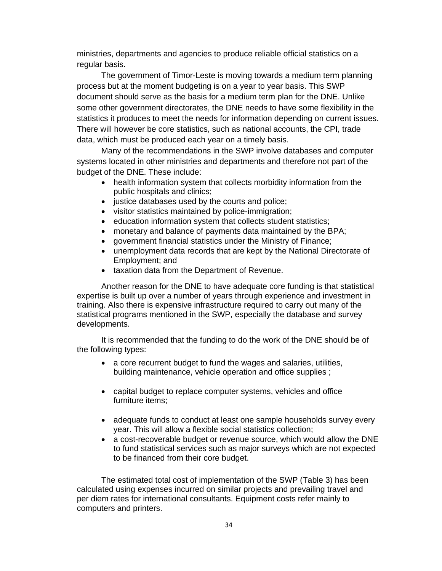ministries, departments and agencies to produce reliable official statistics on a regular basis.

The government of Timor-Leste is moving towards a medium term planning process but at the moment budgeting is on a year to year basis. This SWP document should serve as the basis for a medium term plan for the DNE. Unlike some other government directorates, the DNE needs to have some flexibility in the statistics it produces to meet the needs for information depending on current issues. There will however be core statistics, such as national accounts, the CPI, trade data, which must be produced each year on a timely basis.

Many of the recommendations in the SWP involve databases and computer systems located in other ministries and departments and therefore not part of the budget of the DNE. These include:

- health information system that collects morbidity information from the public hospitals and clinics;
- justice databases used by the courts and police;
- visitor statistics maintained by police-immigration;
- education information system that collects student statistics;
- monetary and balance of payments data maintained by the BPA;
- government financial statistics under the Ministry of Finance;
- unemployment data records that are kept by the National Directorate of Employment; and
- taxation data from the Department of Revenue.

Another reason for the DNE to have adequate core funding is that statistical expertise is built up over a number of years through experience and investment in training. Also there is expensive infrastructure required to carry out many of the statistical programs mentioned in the SWP, especially the database and survey developments.

It is recommended that the funding to do the work of the DNE should be of the following types:

- a core recurrent budget to fund the wages and salaries, utilities, building maintenance, vehicle operation and office supplies ;
- capital budget to replace computer systems, vehicles and office furniture items;
- adequate funds to conduct at least one sample households survey every year. This will allow a flexible social statistics collection;
- a cost-recoverable budget or revenue source, which would allow the DNE to fund statistical services such as major surveys which are not expected to be financed from their core budget.

The estimated total cost of implementation of the SWP (Table 3) has been calculated using expenses incurred on similar projects and prevailing travel and per diem rates for international consultants. Equipment costs refer mainly to computers and printers.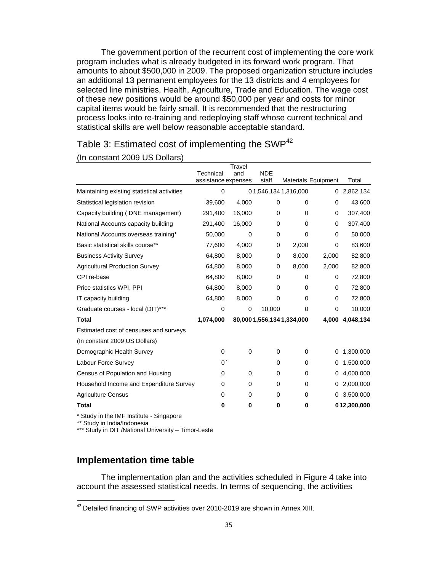The government portion of the recurrent cost of implementing the core work program includes what is already budgeted in its forward work program. That amounts to about \$500,000 in 2009. The proposed organization structure includes an additional 13 permanent employees for the 13 districts and 4 employees for selected line ministries, Health, Agriculture, Trade and Education. The wage cost of these new positions would be around \$50,000 per year and costs for minor capital items would be fairly small. It is recommended that the restructuring process looks into re-training and redeploying staff whose current technical and statistical skills are well below reasonable acceptable standard.

## Table 3: Estimated cost of implementing the SWP<sup>42</sup>

#### (In constant 2009 US Dollars)

|                                             |                                  | Travel |                     |                            |          |                 |
|---------------------------------------------|----------------------------------|--------|---------------------|----------------------------|----------|-----------------|
|                                             | Technical<br>assistance expenses | and    | <b>NDE</b><br>staff | <b>Materials Equipment</b> |          | Total           |
| Maintaining existing statistical activities | 0                                |        |                     | 01,546,1341,316,000        | 0        | 2,862,134       |
| Statistical legislation revision            | 39,600                           | 4,000  | 0                   | 0                          | 0        | 43,600          |
| Capacity building (DNE management)          | 291,400                          | 16,000 | 0                   | $\Omega$                   | 0        | 307,400         |
| National Accounts capacity building         | 291,400                          | 16,000 | 0                   | 0                          | $\Omega$ | 307,400         |
| National Accounts overseas training*        | 50,000                           | 0      | 0                   | $\Omega$                   | $\Omega$ | 50,000          |
| Basic statistical skills course**           | 77,600                           | 4,000  | 0                   | 2,000                      | 0        | 83,600          |
| <b>Business Activity Survey</b>             | 64,800                           | 8,000  | 0                   | 8,000                      | 2,000    | 82,800          |
| <b>Agricultural Production Survey</b>       | 64,800                           | 8,000  | 0                   | 8,000                      | 2,000    | 82,800          |
| CPI re-base                                 | 64,800                           | 8,000  | 0                   | 0                          | 0        | 72,800          |
| Price statistics WPI, PPI                   | 64,800                           | 8,000  | 0                   | 0                          | 0        | 72,800          |
| IT capacity building                        | 64,800                           | 8,000  | $\Omega$            | $\Omega$                   | $\Omega$ | 72,800          |
| Graduate courses - local (DIT)***           | $\mathbf 0$                      | 0      | 10,000              | 0                          | 0        | 10,000          |
| <b>Total</b>                                | 1,074,000                        |        |                     | 80,000 1,556,134 1,334,000 |          | 4,000 4,048,134 |
| Estimated cost of censuses and surveys      |                                  |        |                     |                            |          |                 |
| (In constant 2009 US Dollars)               |                                  |        |                     |                            |          |                 |
| Demographic Health Survey                   | 0                                | 0      | 0                   | 0                          | 0        | 1,300,000       |
| Labour Force Survey                         | $0^{\prime}$                     |        | 0                   | 0                          | 0        | 1,500,000       |
| Census of Population and Housing            | 0                                | 0      | 0                   | 0                          | 0        | 4,000,000       |
| Household Income and Expenditure Survey     | 0                                | 0      | 0                   | 0                          | 0        | 2,000,000       |
| <b>Agriculture Census</b>                   | 0                                | 0      | 0                   | 0                          | 0        | 3,500,000       |
| <b>Total</b>                                | 0                                | 0      | 0                   | 0                          |          | 012,300,000     |

\* Study in the IMF Institute - Singapore

\*\* Study in India/Indonesia

\*\*\* Study in DIT /National University - Timor-Leste

## **Implementation time table**

The implementation plan and the activities scheduled in Figure 4 take into account the assessed statistical needs. In terms of sequencing, the activities

 $42$  Detailed financing of SWP activities over 2010-2019 are shown in Annex XIII.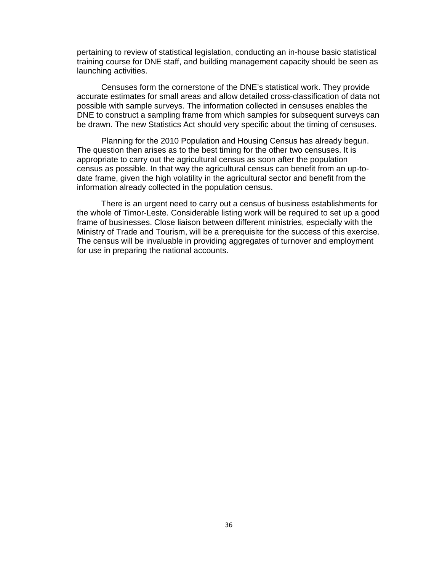pertaining to review of statistical legislation, conducting an in-house basic statistical training course for DNE staff, and building management capacity should be seen as launching activities.

Censuses form the cornerstone of the DNE's statistical work. They provide accurate estimates for small areas and allow detailed cross-classification of data not possible with sample surveys. The information collected in censuses enables the DNE to construct a sampling frame from which samples for subsequent surveys can be drawn. The new Statistics Act should very specific about the timing of censuses.

Planning for the 2010 Population and Housing Census has already begun. The question then arises as to the best timing for the other two censuses. It is appropriate to carry out the agricultural census as soon after the population census as possible. In that way the agricultural census can benefit from an up-todate frame, given the high volatility in the agricultural sector and benefit from the information already collected in the population census.

There is an urgent need to carry out a census of business establishments for the whole of Timor-Leste. Considerable listing work will be required to set up a good frame of businesses. Close liaison between different ministries, especially with the Ministry of Trade and Tourism, will be a prerequisite for the success of this exercise. The census will be invaluable in providing aggregates of turnover and employment for use in preparing the national accounts.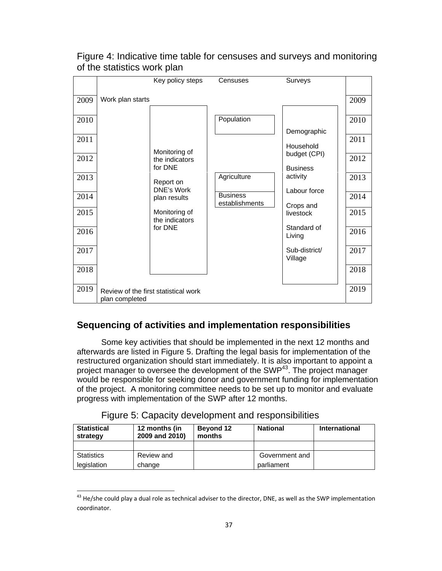|                                                                      |                  | Key policy steps                                                                                                                    | Censuses                                                       | Surveys                                                                                                                                                                |                                                                      |
|----------------------------------------------------------------------|------------------|-------------------------------------------------------------------------------------------------------------------------------------|----------------------------------------------------------------|------------------------------------------------------------------------------------------------------------------------------------------------------------------------|----------------------------------------------------------------------|
| 2009<br>2010<br>2011<br>2012<br>2013<br>2014<br>2015<br>2016<br>2017 | Work plan starts | Monitoring of<br>the indicators<br>for DNE<br>Report on<br>DNE's Work<br>plan results<br>Monitoring of<br>the indicators<br>for DNE | Population<br>Agriculture<br><b>Business</b><br>establishments | Demographic<br>Household<br>budget (CPI)<br><b>Business</b><br>activity<br>Labour force<br>Crops and<br>livestock<br>Standard of<br>Living<br>Sub-district/<br>Village | 2009<br>2010<br>2011<br>2012<br>2013<br>2014<br>2015<br>2016<br>2017 |
| 2018                                                                 |                  |                                                                                                                                     |                                                                |                                                                                                                                                                        | 2018                                                                 |
| 2019                                                                 | plan completed   | Review of the first statistical work                                                                                                |                                                                |                                                                                                                                                                        | 2019                                                                 |

# Figure 4: Indicative time table for censuses and surveys and monitoring of the statistics work plan

# **Sequencing of activities and implementation responsibilities**

Some key activities that should be implemented in the next 12 months and afterwards are listed in Figure 5. Drafting the legal basis for implementation of the restructured organization should start immediately. It is also important to appoint a project manager to oversee the development of the SWP43. The project manager would be responsible for seeking donor and government funding for implementation of the project. A monitoring committee needs to be set up to monitor and evaluate progress with implementation of the SWP after 12 months.

|  |  | Figure 5: Capacity development and responsibilities |
|--|--|-----------------------------------------------------|
|  |  |                                                     |

| <b>Statistical</b><br>strategy | 12 months (in<br>2009 and 2010) | <b>Beyond 12</b><br>months | <b>National</b> | <b>International</b> |
|--------------------------------|---------------------------------|----------------------------|-----------------|----------------------|
|                                |                                 |                            |                 |                      |
| <b>Statistics</b>              | Review and                      |                            | Government and  |                      |
| legislation                    | change                          |                            | parliament      |                      |

 $^{43}$  He/she could play a dual role as technical adviser to the director, DNE, as well as the SWP implementation coordinator.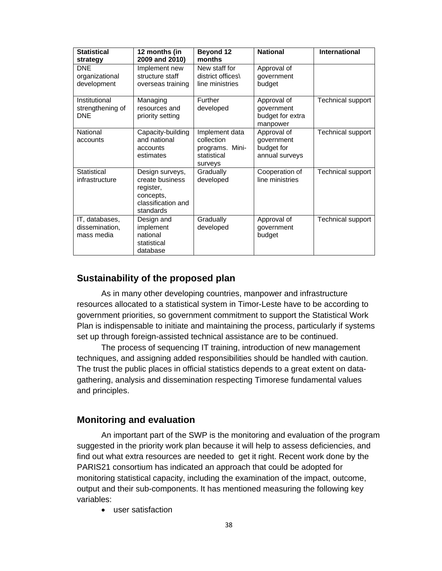| <b>Statistical</b><br>strategy                  | 12 months (in<br>2009 and 2010)                                                                 | <b>Beyond 12</b><br>months                                                | <b>National</b>                                           | <b>International</b> |
|-------------------------------------------------|-------------------------------------------------------------------------------------------------|---------------------------------------------------------------------------|-----------------------------------------------------------|----------------------|
| <b>DNE</b><br>organizational<br>development     | Implement new<br>structure staff<br>overseas training                                           | New staff for<br>district offices\<br>line ministries                     | Approval of<br>government<br>budget                       |                      |
| Institutional<br>strengthening of<br><b>DNE</b> | Managing<br>resources and<br>priority setting                                                   | Further<br>developed                                                      | Approval of<br>government<br>budget for extra<br>manpower | Technical support    |
| National<br>accounts                            | Capacity-building<br>and national<br>accounts<br>estimates                                      | Implement data<br>collection<br>programs. Mini-<br>statistical<br>surveys | Approval of<br>government<br>budget for<br>annual surveys | Technical support    |
| <b>Statistical</b><br>infrastructure            | Design surveys,<br>create business<br>register,<br>concepts,<br>classification and<br>standards | Gradually<br>developed                                                    | Cooperation of<br>line ministries                         | Technical support    |
| IT, databases,<br>dissemination,<br>mass media  | Design and<br>implement<br>national<br>statistical<br>database                                  | Gradually<br>developed                                                    | Approval of<br>government<br>budget                       | Technical support    |

# **Sustainability of the proposed plan**

As in many other developing countries, manpower and infrastructure resources allocated to a statistical system in Timor-Leste have to be according to government priorities, so government commitment to support the Statistical Work Plan is indispensable to initiate and maintaining the process, particularly if systems set up through foreign-assisted technical assistance are to be continued.

The process of sequencing IT training, introduction of new management techniques, and assigning added responsibilities should be handled with caution. The trust the public places in official statistics depends to a great extent on datagathering, analysis and dissemination respecting Timorese fundamental values and principles.

## **Monitoring and evaluation**

An important part of the SWP is the monitoring and evaluation of the program suggested in the priority work plan because it will help to assess deficiencies, and find out what extra resources are needed to get it right. Recent work done by the PARIS21 consortium has indicated an approach that could be adopted for monitoring statistical capacity, including the examination of the impact, outcome, output and their sub-components. It has mentioned measuring the following key variables:

• user satisfaction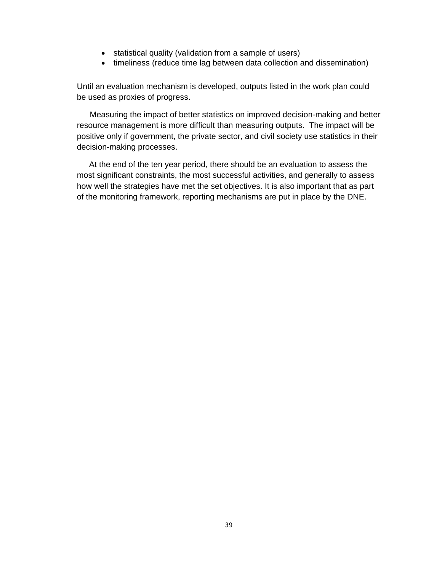- statistical quality (validation from a sample of users)
- timeliness (reduce time lag between data collection and dissemination)

Until an evaluation mechanism is developed, outputs listed in the work plan could be used as proxies of progress.

Measuring the impact of better statistics on improved decision-making and better resource management is more difficult than measuring outputs. The impact will be positive only if government, the private sector, and civil society use statistics in their decision-making processes.

At the end of the ten year period, there should be an evaluation to assess the most significant constraints, the most successful activities, and generally to assess how well the strategies have met the set objectives. It is also important that as part of the monitoring framework, reporting mechanisms are put in place by the DNE.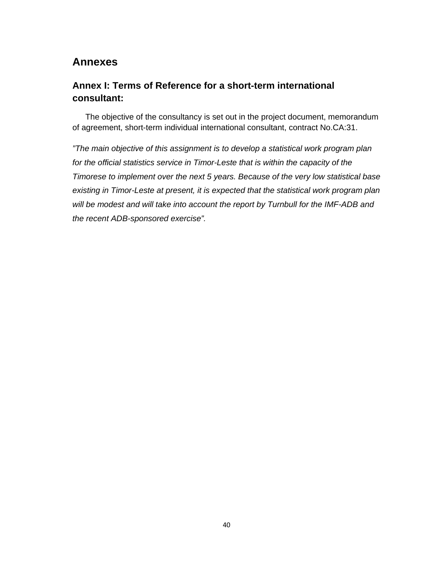# **Annexes**

# **Annex I: Terms of Reference for a short-term international consultant:**

The objective of the consultancy is set out in the project document, memorandum of agreement, short-term individual international consultant, contract No.CA:31.

*"The main objective of this assignment is to develop a statistical work program plan for the official statistics service in Timor-Leste that is within the capacity of the Timorese to implement over the next 5 years. Because of the very low statistical base existing in Timor-Leste at present, it is expected that the statistical work program plan will be modest and will take into account the report by Turnbull for the IMF-ADB and the recent ADB-sponsored exercise".*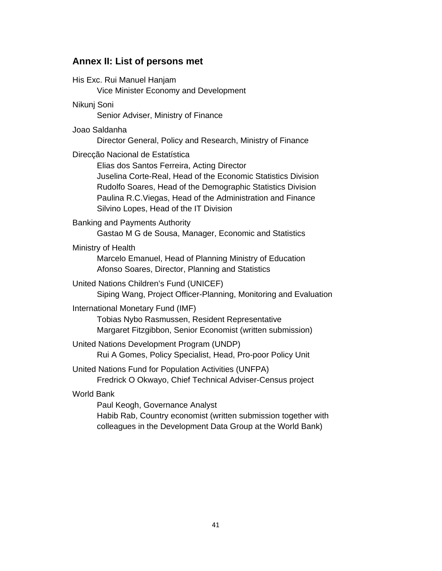# **Annex II: List of persons met**

| His Exc. Rui Manuel Hanjam<br>Vice Minister Economy and Development                                                                                                                                                                                                                                                     |
|-------------------------------------------------------------------------------------------------------------------------------------------------------------------------------------------------------------------------------------------------------------------------------------------------------------------------|
| Nikunj Soni<br>Senior Adviser, Ministry of Finance                                                                                                                                                                                                                                                                      |
| Joao Saldanha<br>Director General, Policy and Research, Ministry of Finance                                                                                                                                                                                                                                             |
| Direcção Nacional de Estatística<br>Elias dos Santos Ferreira, Acting Director<br>Juselina Corte-Real, Head of the Economic Statistics Division<br>Rudolfo Soares, Head of the Demographic Statistics Division<br>Paulina R.C. Viegas, Head of the Administration and Finance<br>Silvino Lopes, Head of the IT Division |
| Banking and Payments Authority<br>Gastao M G de Sousa, Manager, Economic and Statistics                                                                                                                                                                                                                                 |
| Ministry of Health<br>Marcelo Emanuel, Head of Planning Ministry of Education<br>Afonso Soares, Director, Planning and Statistics                                                                                                                                                                                       |
| United Nations Children's Fund (UNICEF)<br>Siping Wang, Project Officer-Planning, Monitoring and Evaluation                                                                                                                                                                                                             |
| International Monetary Fund (IMF)<br>Tobias Nybo Rasmussen, Resident Representative<br>Margaret Fitzgibbon, Senior Economist (written submission)                                                                                                                                                                       |
| United Nations Development Program (UNDP)<br>Rui A Gomes, Policy Specialist, Head, Pro-poor Policy Unit                                                                                                                                                                                                                 |
| United Nations Fund for Population Activities (UNFPA)<br>Fredrick O Okwayo, Chief Technical Adviser-Census project                                                                                                                                                                                                      |
| <b>World Bank</b><br>Paul Keogh, Governance Analyst<br>Habib Rab, Country economist (written submission together with<br>colleagues in the Development Data Group at the World Bank)                                                                                                                                    |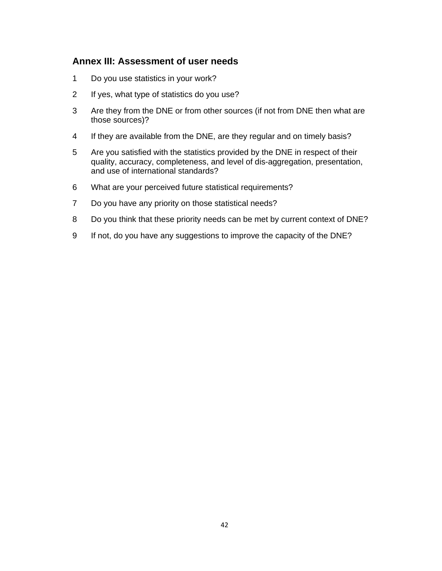## **Annex III: Assessment of user needs**

- 1 Do you use statistics in your work?
- 2 If yes, what type of statistics do you use?
- 3 Are they from the DNE or from other sources (if not from DNE then what are those sources)?
- 4 If they are available from the DNE, are they regular and on timely basis?
- 5 Are you satisfied with the statistics provided by the DNE in respect of their quality, accuracy, completeness, and level of dis-aggregation, presentation, and use of international standards?
- 6 What are your perceived future statistical requirements?
- 7 Do you have any priority on those statistical needs?
- 8 Do you think that these priority needs can be met by current context of DNE?
- 9 If not, do you have any suggestions to improve the capacity of the DNE?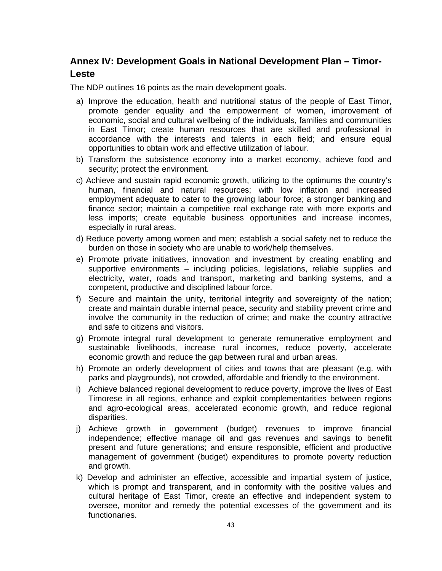# **Annex IV: Development Goals in National Development Plan – Timor-Leste**

The NDP outlines 16 points as the main development goals.

- a) Improve the education, health and nutritional status of the people of East Timor, promote gender equality and the empowerment of women, improvement of economic, social and cultural wellbeing of the individuals, families and communities in East Timor; create human resources that are skilled and professional in accordance with the interests and talents in each field; and ensure equal opportunities to obtain work and effective utilization of labour.
- b) Transform the subsistence economy into a market economy, achieve food and security; protect the environment.
- c) Achieve and sustain rapid economic growth, utilizing to the optimums the country's human, financial and natural resources; with low inflation and increased employment adequate to cater to the growing labour force; a stronger banking and finance sector; maintain a competitive real exchange rate with more exports and less imports; create equitable business opportunities and increase incomes, especially in rural areas.
- d) Reduce poverty among women and men; establish a social safety net to reduce the burden on those in society who are unable to work/help themselves.
- e) Promote private initiatives, innovation and investment by creating enabling and supportive environments – including policies, legislations, reliable supplies and electricity, water, roads and transport, marketing and banking systems, and a competent, productive and disciplined labour force.
- f) Secure and maintain the unity, territorial integrity and sovereignty of the nation; create and maintain durable internal peace, security and stability prevent crime and involve the community in the reduction of crime; and make the country attractive and safe to citizens and visitors.
- g) Promote integral rural development to generate remunerative employment and sustainable livelihoods, increase rural incomes, reduce poverty, accelerate economic growth and reduce the gap between rural and urban areas.
- h) Promote an orderly development of cities and towns that are pleasant (e.g. with parks and playgrounds), not crowded, affordable and friendly to the environment.
- i) Achieve balanced regional development to reduce poverty, improve the lives of East Timorese in all regions, enhance and exploit complementarities between regions and agro-ecological areas, accelerated economic growth, and reduce regional disparities.
- j) Achieve growth in government (budget) revenues to improve financial independence; effective manage oil and gas revenues and savings to benefit present and future generations; and ensure responsible, efficient and productive management of government (budget) expenditures to promote poverty reduction and growth.
- k) Develop and administer an effective, accessible and impartial system of justice, which is prompt and transparent, and in conformity with the positive values and cultural heritage of East Timor, create an effective and independent system to oversee, monitor and remedy the potential excesses of the government and its functionaries.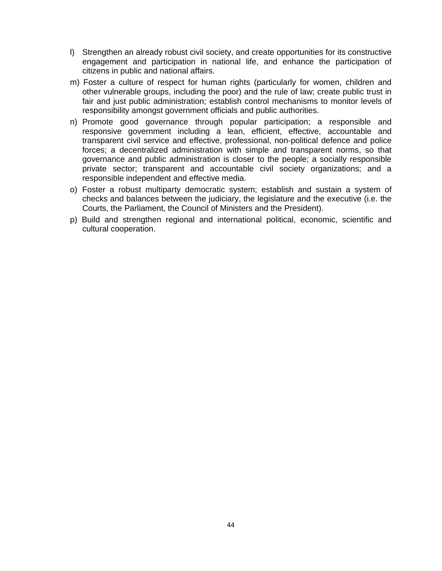- l) Strengthen an already robust civil society, and create opportunities for its constructive engagement and participation in national life, and enhance the participation of citizens in public and national affairs.
- m) Foster a culture of respect for human rights (particularly for women, children and other vulnerable groups, including the poor) and the rule of law; create public trust in fair and just public administration; establish control mechanisms to monitor levels of responsibility amongst government officials and public authorities.
- n) Promote good governance through popular participation; a responsible and responsive government including a lean, efficient, effective, accountable and transparent civil service and effective, professional, non-political defence and police forces; a decentralized administration with simple and transparent norms, so that governance and public administration is closer to the people; a socially responsible private sector; transparent and accountable civil society organizations; and a responsible independent and effective media.
- o) Foster a robust multiparty democratic system; establish and sustain a system of checks and balances between the judiciary, the legislature and the executive (i.e. the Courts, the Parliament, the Council of Ministers and the President).
- p) Build and strengthen regional and international political, economic, scientific and cultural cooperation.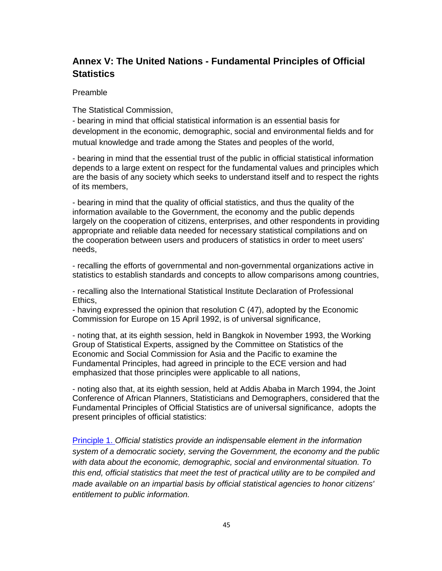# **Annex V: The United Nations - Fundamental Principles of Official Statistics**

#### Preamble

The Statistical Commission,

- bearing in mind that official statistical information is an essential basis for development in the economic, demographic, social and environmental fields and for mutual knowledge and trade among the States and peoples of the world,

- bearing in mind that the essential trust of the public in official statistical information depends to a large extent on respect for the fundamental values and principles which are the basis of any society which seeks to understand itself and to respect the rights of its members,

- bearing in mind that the quality of official statistics, and thus the quality of the information available to the Government, the economy and the public depends largely on the cooperation of citizens, enterprises, and other respondents in providing appropriate and reliable data needed for necessary statistical compilations and on the cooperation between users and producers of statistics in order to meet users' needs,

- recalling the efforts of governmental and non-governmental organizations active in statistics to establish standards and concepts to allow comparisons among countries,

- recalling also the International Statistical Institute Declaration of Professional Ethics,

- having expressed the opinion that resolution C (47), adopted by the Economic Commission for Europe on 15 April 1992, is of universal significance,

- noting that, at its eighth session, held in Bangkok in November 1993, the Working Group of Statistical Experts, assigned by the Committee on Statistics of the Economic and Social Commission for Asia and the Pacific to examine the Fundamental Principles, had agreed in principle to the ECE version and had emphasized that those principles were applicable to all nations,

- noting also that, at its eighth session, held at Addis Ababa in March 1994, the Joint Conference of African Planners, Statisticians and Demographers, considered that the Fundamental Principles of Official Statistics are of universal significance, adopts the present principles of official statistics:

Principle 1. *Official statistics provide an indispensable element in the information system of a democratic society, serving the Government, the economy and the public with data about the economic, demographic, social and environmental situation. To this end, official statistics that meet the test of practical utility are to be compiled and made available on an impartial basis by official statistical agencies to honor citizens' entitlement to public information.*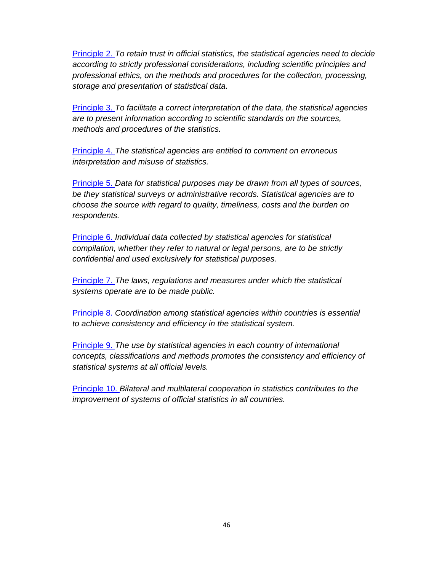Principle 2. *To retain trust in official statistics, the statistical agencies need to decide according to strictly professional considerations, including scientific principles and professional ethics, on the methods and procedures for the collection, processing, storage and presentation of statistical data.* 

Principle 3. *To facilitate a correct interpretation of the data, the statistical agencies are to present information according to scientific standards on the sources, methods and procedures of the statistics.* 

Principle 4. *The statistical agencies are entitled to comment on erroneous interpretation and misuse of statistics.* 

Principle 5. *Data for statistical purposes may be drawn from all types of sources, be they statistical surveys or administrative records. Statistical agencies are to choose the source with regard to quality, timeliness, costs and the burden on respondents.* 

Principle 6. *Individual data collected by statistical agencies for statistical compilation, whether they refer to natural or legal persons, are to be strictly confidential and used exclusively for statistical purposes.* 

Principle 7. *The laws, regulations and measures under which the statistical systems operate are to be made public.* 

Principle 8. *Coordination among statistical agencies within countries is essential to achieve consistency and efficiency in the statistical system.* 

Principle 9. *The use by statistical agencies in each country of international concepts, classifications and methods promotes the consistency and efficiency of statistical systems at all official levels.* 

Principle 10. *Bilateral and multilateral cooperation in statistics contributes to the improvement of systems of official statistics in all countries.*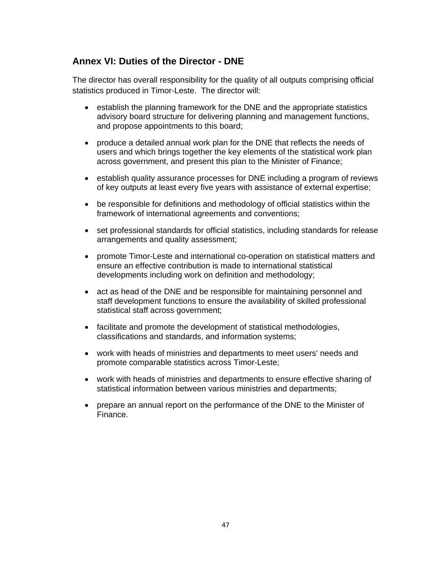# **Annex VI: Duties of the Director - DNE**

The director has overall responsibility for the quality of all outputs comprising official statistics produced in Timor-Leste. The director will:

- establish the planning framework for the DNE and the appropriate statistics advisory board structure for delivering planning and management functions, and propose appointments to this board;
- produce a detailed annual work plan for the DNE that reflects the needs of users and which brings together the key elements of the statistical work plan across government, and present this plan to the Minister of Finance;
- establish quality assurance processes for DNE including a program of reviews of key outputs at least every five years with assistance of external expertise;
- be responsible for definitions and methodology of official statistics within the framework of international agreements and conventions;
- set professional standards for official statistics, including standards for release arrangements and quality assessment;
- promote Timor-Leste and international co-operation on statistical matters and ensure an effective contribution is made to international statistical developments including work on definition and methodology;
- act as head of the DNE and be responsible for maintaining personnel and staff development functions to ensure the availability of skilled professional statistical staff across government;
- facilitate and promote the development of statistical methodologies, classifications and standards, and information systems;
- work with heads of ministries and departments to meet users' needs and promote comparable statistics across Timor-Leste;
- work with heads of ministries and departments to ensure effective sharing of statistical information between various ministries and departments;
- prepare an annual report on the performance of the DNE to the Minister of Finance.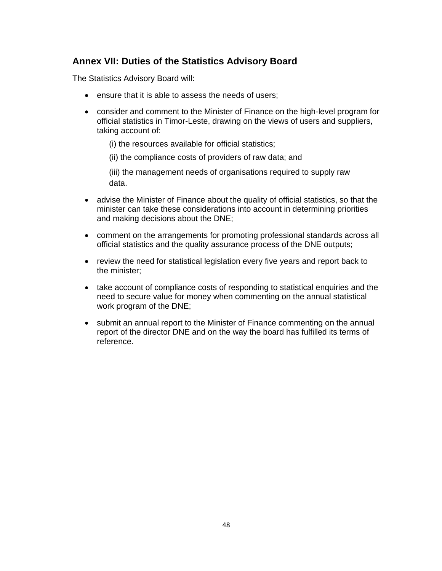# **Annex VII: Duties of the Statistics Advisory Board**

The Statistics Advisory Board will:

- ensure that it is able to assess the needs of users;
- consider and comment to the Minister of Finance on the high-level program for official statistics in Timor-Leste, drawing on the views of users and suppliers, taking account of:
	- (i) the resources available for official statistics;
	- (ii) the compliance costs of providers of raw data; and

(iii) the management needs of organisations required to supply raw data.

- advise the Minister of Finance about the quality of official statistics, so that the minister can take these considerations into account in determining priorities and making decisions about the DNE;
- comment on the arrangements for promoting professional standards across all official statistics and the quality assurance process of the DNE outputs;
- review the need for statistical legislation every five years and report back to the minister;
- take account of compliance costs of responding to statistical enquiries and the need to secure value for money when commenting on the annual statistical work program of the DNE;
- submit an annual report to the Minister of Finance commenting on the annual report of the director DNE and on the way the board has fulfilled its terms of reference.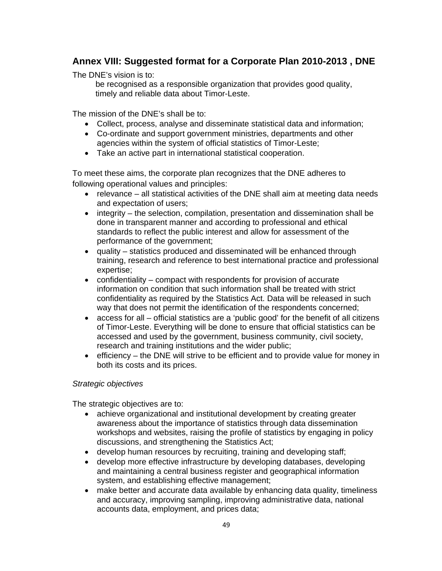# **Annex VIII: Suggested format for a Corporate Plan 2010-2013 , DNE**

The DNE's vision is to:

be recognised as a responsible organization that provides good quality, timely and reliable data about Timor-Leste.

The mission of the DNE's shall be to:

- Collect, process, analyse and disseminate statistical data and information;
- Co-ordinate and support government ministries, departments and other agencies within the system of official statistics of Timor-Leste;
- Take an active part in international statistical cooperation.

To meet these aims, the corporate plan recognizes that the DNE adheres to following operational values and principles:

- relevance all statistical activities of the DNE shall aim at meeting data needs and expectation of users;
- integrity the selection, compilation, presentation and dissemination shall be done in transparent manner and according to professional and ethical standards to reflect the public interest and allow for assessment of the performance of the government;
- quality statistics produced and disseminated will be enhanced through training, research and reference to best international practice and professional expertise;
- confidentiality compact with respondents for provision of accurate information on condition that such information shall be treated with strict confidentiality as required by the Statistics Act. Data will be released in such way that does not permit the identification of the respondents concerned;
- access for all official statistics are a 'public good' for the benefit of all citizens of Timor-Leste. Everything will be done to ensure that official statistics can be accessed and used by the government, business community, civil society, research and training institutions and the wider public;
- efficiency the DNE will strive to be efficient and to provide value for money in both its costs and its prices.

## *Strategic objectives*

The strategic objectives are to:

- achieve organizational and institutional development by creating greater awareness about the importance of statistics through data dissemination workshops and websites, raising the profile of statistics by engaging in policy discussions, and strengthening the Statistics Act;
- develop human resources by recruiting, training and developing staff;
- develop more effective infrastructure by developing databases, developing and maintaining a central business register and geographical information system, and establishing effective management;
- make better and accurate data available by enhancing data quality, timeliness and accuracy, improving sampling, improving administrative data, national accounts data, employment, and prices data;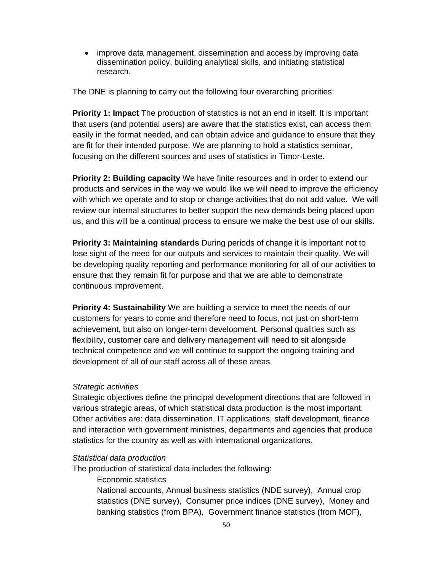• improve data management, dissemination and access by improving data dissemination policy, building analytical skills, and initiating statistical research.

The DNE is planning to carry out the following four overarching priorities:

**Priority 1: Impact** The production of statistics is not an end in itself. It is important that users (and potential users) are aware that the statistics exist, can access them easily in the format needed, and can obtain advice and guidance to ensure that they are fit for their intended purpose. We are planning to hold a statistics seminar, focusing on the different sources and uses of statistics in Timor-Leste.

**Priority 2: Building capacity** We have finite resources and in order to extend our products and services in the way we would like we will need to improve the efficiency with which we operate and to stop or change activities that do not add value. We will review our internal structures to better support the new demands being placed upon us, and this will be a continual process to ensure we make the best use of our skills.

**Priority 3: Maintaining standards** During periods of change it is important not to lose sight of the need for our outputs and services to maintain their quality. We will be developing quality reporting and performance monitoring for all of our activities to ensure that they remain fit for purpose and that we are able to demonstrate continuous improvement.

**Priority 4: Sustainability** We are building a service to meet the needs of our customers for years to come and therefore need to focus, not just on short-term achievement, but also on longer-term development. Personal qualities such as flexibility, customer care and delivery management will need to sit alongside technical competence and we will continue to support the ongoing training and development of all of our staff across all of these areas.

## *Strategic activities*

Strategic objectives define the principal development directions that are followed in various strategic areas, of which statistical data production is the most important. Other activities are: data dissemination, IT applications, staff development, finance and interaction with government ministries, departments and agencies that produce statistics for the country as well as with international organizations.

#### *Statistical data production*

The production of statistical data includes the following:

Economic statistics

National accounts, Annual business statistics (NDE survey), Annual crop statistics (DNE survey), Consumer price indices (DNE survey), Money and banking statistics (from BPA), Government finance statistics (from MOF),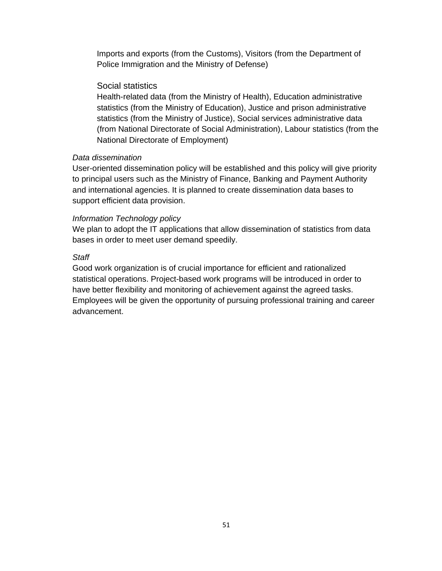Imports and exports (from the Customs), Visitors (from the Department of Police Immigration and the Ministry of Defense)

## Social statistics

Health-related data (from the Ministry of Health), Education administrative statistics (from the Ministry of Education), Justice and prison administrative statistics (from the Ministry of Justice), Social services administrative data (from National Directorate of Social Administration), Labour statistics (from the National Directorate of Employment)

### *Data dissemination*

User-oriented dissemination policy will be established and this policy will give priority to principal users such as the Ministry of Finance, Banking and Payment Authority and international agencies. It is planned to create dissemination data bases to support efficient data provision.

## *Information Technology policy*

We plan to adopt the IT applications that allow dissemination of statistics from data bases in order to meet user demand speedily.

### *Staff*

Good work organization is of crucial importance for efficient and rationalized statistical operations. Project-based work programs will be introduced in order to have better flexibility and monitoring of achievement against the agreed tasks. Employees will be given the opportunity of pursuing professional training and career advancement.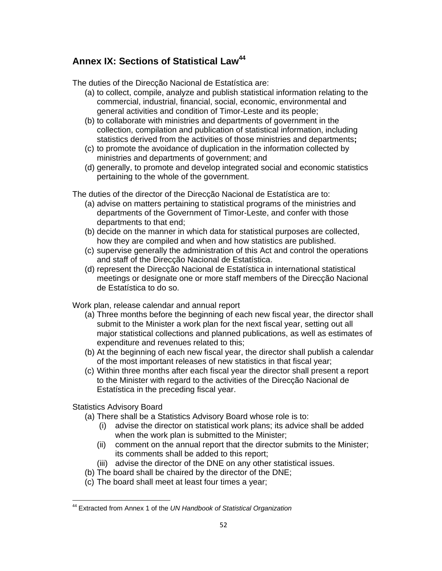# **Annex IX: Sections of Statistical Law44**

The duties of the Direcção Nacional de Estatística are:

- (a) to collect, compile, analyze and publish statistical information relating to the commercial, industrial, financial, social, economic, environmental and general activities and condition of Timor-Leste and its people;
- (b) to collaborate with ministries and departments of government in the collection, compilation and publication of statistical information, including statistics derived from the activities of those ministries and departments**;**
- (c) to promote the avoidance of duplication in the information collected by ministries and departments of government; and
- (d) generally, to promote and develop integrated social and economic statistics pertaining to the whole of the government.

The duties of the director of the Direcção Nacional de Estatística are to:

- (a) advise on matters pertaining to statistical programs of the ministries and departments of the Government of Timor-Leste, and confer with those departments to that end;
- (b) decide on the manner in which data for statistical purposes are collected, how they are compiled and when and how statistics are published.
- (c) supervise generally the administration of this Act and control the operations and staff of the Direcção Nacional de Estatística.
- (d) represent the Direcção Nacional de Estatística in international statistical meetings or designate one or more staff members of the Direcção Nacional de Estatística to do so.

Work plan, release calendar and annual report

- (a) Three months before the beginning of each new fiscal year, the director shall submit to the Minister a work plan for the next fiscal year, setting out all major statistical collections and planned publications, as well as estimates of expenditure and revenues related to this;
- (b) At the beginning of each new fiscal year, the director shall publish a calendar of the most important releases of new statistics in that fiscal year;
- (c) Within three months after each fiscal year the director shall present a report to the Minister with regard to the activities of the Direcção Nacional de Estatística in the preceding fiscal year.

Statistics Advisory Board

- (a) There shall be a Statistics Advisory Board whose role is to:
	- (i) advise the director on statistical work plans; its advice shall be added when the work plan is submitted to the Minister;
	- (ii) comment on the annual report that the director submits to the Minister; its comments shall be added to this report;
	- (iii) advise the director of the DNE on any other statistical issues.
- (b) The board shall be chaired by the director of the DNE;
- (c) The board shall meet at least four times a year;

 <sup>44</sup> Extracted from Annex 1 of the *UN Handbook of Statistical Organization*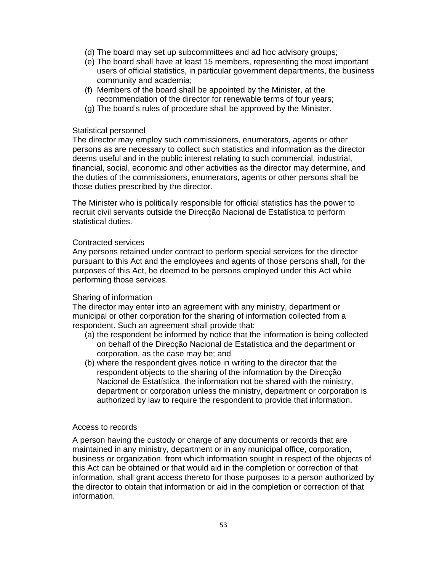- (d) The board may set up subcommittees and ad hoc advisory groups;
- (e) The board shall have at least 15 members, representing the most important users of official statistics, in particular government departments, the business community and academia;
- (f) Members of the board shall be appointed by the Minister, at the recommendation of the director for renewable terms of four years;
- (g) The board's rules of procedure shall be approved by the Minister.

#### Statistical personnel

The director may employ such commissioners, enumerators, agents or other persons as are necessary to collect such statistics and information as the director deems useful and in the public interest relating to such commercial, industrial, financial, social, economic and other activities as the director may determine, and the duties of the commissioners, enumerators, agents or other persons shall be those duties prescribed by the director.

The Minister who is politically responsible for official statistics has the power to recruit civil servants outside the Direcção Nacional de Estatística to perform statistical duties.

#### Contracted services

Any persons retained under contract to perform special services for the director pursuant to this Act and the employees and agents of those persons shall, for the purposes of this Act, be deemed to be persons employed under this Act while performing those services.

#### Sharing of information

The director may enter into an agreement with any ministry, department or municipal or other corporation for the sharing of information collected from a respondent. Such an agreement shall provide that:

- (a) the respondent be informed by notice that the information is being collected on behalf of the Direcção Nacional de Estatística and the department or corporation, as the case may be; and
- (b) where the respondent gives notice in writing to the director that the respondent objects to the sharing of the information by the Direcção Nacional de Estatística, the information not be shared with the ministry, department or corporation unless the ministry, department or corporation is authorized by law to require the respondent to provide that information.

#### Access to records

A person having the custody or charge of any documents or records that are maintained in any ministry, department or in any municipal office, corporation, business or organization, from which information sought in respect of the objects of this Act can be obtained or that would aid in the completion or correction of that information, shall grant access thereto for those purposes to a person authorized by the director to obtain that information or aid in the completion or correction of that information.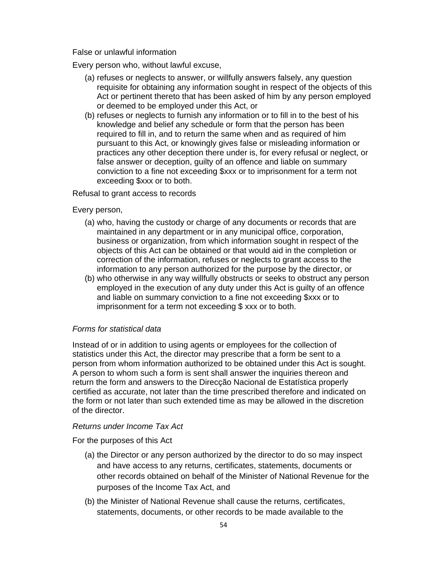False or unlawful information

Every person who, without lawful excuse,

- (a) refuses or neglects to answer, or willfully answers falsely, any question requisite for obtaining any information sought in respect of the objects of this Act or pertinent thereto that has been asked of him by any person employed or deemed to be employed under this Act, or
- (b) refuses or neglects to furnish any information or to fill in to the best of his knowledge and belief any schedule or form that the person has been required to fill in, and to return the same when and as required of him pursuant to this Act, or knowingly gives false or misleading information or practices any other deception there under is, for every refusal or neglect, or false answer or deception, guilty of an offence and liable on summary conviction to a fine not exceeding \$xxx or to imprisonment for a term not exceeding \$xxx or to both.

Refusal to grant access to records

Every person,

- (a) who, having the custody or charge of any documents or records that are maintained in any department or in any municipal office, corporation, business or organization, from which information sought in respect of the objects of this Act can be obtained or that would aid in the completion or correction of the information, refuses or neglects to grant access to the information to any person authorized for the purpose by the director, or
- (b) who otherwise in any way willfully obstructs or seeks to obstruct any person employed in the execution of any duty under this Act is guilty of an offence and liable on summary conviction to a fine not exceeding \$xxx or to imprisonment for a term not exceeding \$ xxx or to both.

#### *Forms for statistical data*

Instead of or in addition to using agents or employees for the collection of statistics under this Act, the director may prescribe that a form be sent to a person from whom information authorized to be obtained under this Act is sought. A person to whom such a form is sent shall answer the inquiries thereon and return the form and answers to the Direcção Nacional de Estatística properly certified as accurate, not later than the time prescribed therefore and indicated on the form or not later than such extended time as may be allowed in the discretion of the director.

#### *Returns under Income Tax Act*

For the purposes of this Act

- (a) the Director or any person authorized by the director to do so may inspect and have access to any returns, certificates, statements, documents or other records obtained on behalf of the Minister of National Revenue for the purposes of the Income Tax Act, and
- (b) the Minister of National Revenue shall cause the returns, certificates, statements, documents, or other records to be made available to the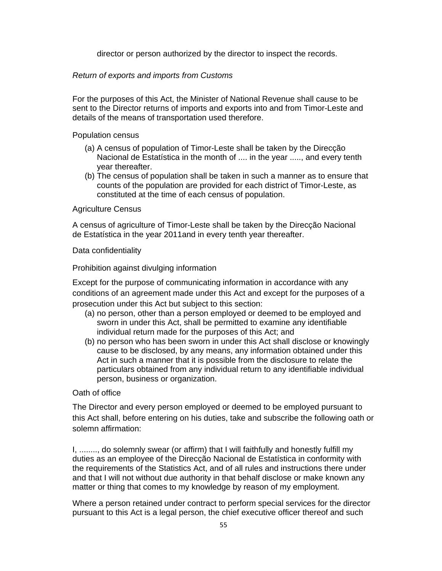director or person authorized by the director to inspect the records.

### *Return of exports and imports from Customs*

For the purposes of this Act, the Minister of National Revenue shall cause to be sent to the Director returns of imports and exports into and from Timor-Leste and details of the means of transportation used therefore.

#### Population census

- (a) A census of population of Timor-Leste shall be taken by the Direcção Nacional de Estatística in the month of .... in the year ....., and every tenth year thereafter.
- (b) The census of population shall be taken in such a manner as to ensure that counts of the population are provided for each district of Timor-Leste, as constituted at the time of each census of population.

#### Agriculture Census

A census of agriculture of Timor-Leste shall be taken by the Direcção Nacional de Estatística in the year 2011and in every tenth year thereafter.

#### Data confidentiality

Prohibition against divulging information

Except for the purpose of communicating information in accordance with any conditions of an agreement made under this Act and except for the purposes of a prosecution under this Act but subject to this section:

- (a) no person, other than a person employed or deemed to be employed and sworn in under this Act, shall be permitted to examine any identifiable individual return made for the purposes of this Act; and
- (b) no person who has been sworn in under this Act shall disclose or knowingly cause to be disclosed, by any means, any information obtained under this Act in such a manner that it is possible from the disclosure to relate the particulars obtained from any individual return to any identifiable individual person, business or organization.

#### Oath of office

The Director and every person employed or deemed to be employed pursuant to this Act shall, before entering on his duties, take and subscribe the following oath or solemn affirmation:

I, ........, do solemnly swear (or affirm) that I will faithfully and honestly fulfill my duties as an employee of the Direcção Nacional de Estatística in conformity with the requirements of the Statistics Act, and of all rules and instructions there under and that I will not without due authority in that behalf disclose or make known any matter or thing that comes to my knowledge by reason of my employment.

Where a person retained under contract to perform special services for the director pursuant to this Act is a legal person, the chief executive officer thereof and such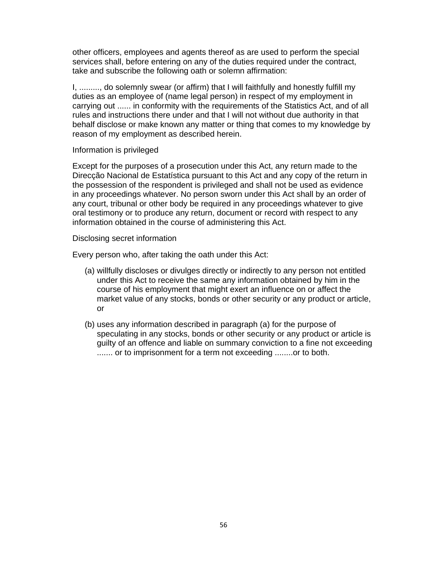other officers, employees and agents thereof as are used to perform the special services shall, before entering on any of the duties required under the contract, take and subscribe the following oath or solemn affirmation:

I, ........., do solemnly swear (or affirm) that I will faithfully and honestly fulfill my duties as an employee of (name legal person) in respect of my employment in carrying out ...... in conformity with the requirements of the Statistics Act, and of all rules and instructions there under and that I will not without due authority in that behalf disclose or make known any matter or thing that comes to my knowledge by reason of my employment as described herein.

#### Information is privileged

Except for the purposes of a prosecution under this Act, any return made to the Direcção Nacional de Estatística pursuant to this Act and any copy of the return in the possession of the respondent is privileged and shall not be used as evidence in any proceedings whatever. No person sworn under this Act shall by an order of any court, tribunal or other body be required in any proceedings whatever to give oral testimony or to produce any return, document or record with respect to any information obtained in the course of administering this Act.

#### Disclosing secret information

Every person who, after taking the oath under this Act:

- (a) willfully discloses or divulges directly or indirectly to any person not entitled under this Act to receive the same any information obtained by him in the course of his employment that might exert an influence on or affect the market value of any stocks, bonds or other security or any product or article, or
- (b) uses any information described in paragraph (a) for the purpose of speculating in any stocks, bonds or other security or any product or article is guilty of an offence and liable on summary conviction to a fine not exceeding ....... or to imprisonment for a term not exceeding ........or to both.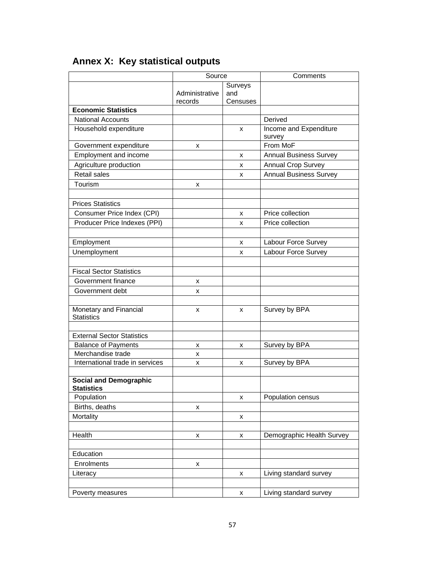|                                                    | Source         |          | Comments                         |  |  |
|----------------------------------------------------|----------------|----------|----------------------------------|--|--|
|                                                    |                | Surveys  |                                  |  |  |
|                                                    | Administrative | and      |                                  |  |  |
|                                                    | records        | Censuses |                                  |  |  |
| <b>Economic Statistics</b>                         |                |          |                                  |  |  |
| <b>National Accounts</b>                           |                |          | Derived                          |  |  |
| Household expenditure                              |                | x        | Income and Expenditure<br>survey |  |  |
| Government expenditure                             | х              |          | From MoF                         |  |  |
| Employment and income                              |                | х        | <b>Annual Business Survey</b>    |  |  |
| Agriculture production                             |                | x        | <b>Annual Crop Survey</b>        |  |  |
| Retail sales                                       |                | x        | <b>Annual Business Survey</b>    |  |  |
| Tourism                                            | х              |          |                                  |  |  |
|                                                    |                |          |                                  |  |  |
| <b>Prices Statistics</b>                           |                |          |                                  |  |  |
| Consumer Price Index (CPI)                         |                | х        | Price collection                 |  |  |
| Producer Price Indexes (PPI)                       |                | x        | Price collection                 |  |  |
|                                                    |                |          |                                  |  |  |
| Employment                                         |                | x        | Labour Force Survey              |  |  |
| Unemployment                                       |                | X        | Labour Force Survey              |  |  |
|                                                    |                |          |                                  |  |  |
| <b>Fiscal Sector Statistics</b>                    |                |          |                                  |  |  |
| Government finance                                 | x              |          |                                  |  |  |
| Government debt                                    | X              |          |                                  |  |  |
|                                                    |                |          |                                  |  |  |
| Monetary and Financial<br><b>Statistics</b>        | x              | х        | Survey by BPA                    |  |  |
| <b>External Sector Statistics</b>                  |                |          |                                  |  |  |
| <b>Balance of Payments</b>                         | х              | х        | Survey by BPA                    |  |  |
| Merchandise trade                                  | X              |          |                                  |  |  |
| International trade in services                    | х              | х        | Survey by BPA                    |  |  |
|                                                    |                |          |                                  |  |  |
| <b>Social and Demographic</b><br><b>Statistics</b> |                |          |                                  |  |  |
| Population                                         |                | х        | Population census                |  |  |
| Births, deaths                                     | x              |          |                                  |  |  |
| Mortality                                          |                | X        |                                  |  |  |
|                                                    |                |          |                                  |  |  |
| Health                                             | X              | X        | Demographic Health Survey        |  |  |
|                                                    |                |          |                                  |  |  |
| Education                                          |                |          |                                  |  |  |
| Enrolments                                         | X              |          |                                  |  |  |
| Literacy                                           |                | X        | Living standard survey           |  |  |
|                                                    |                |          |                                  |  |  |
| Poverty measures                                   |                | X        | Living standard survey           |  |  |
|                                                    |                |          |                                  |  |  |

# **Annex X: Key statistical outputs**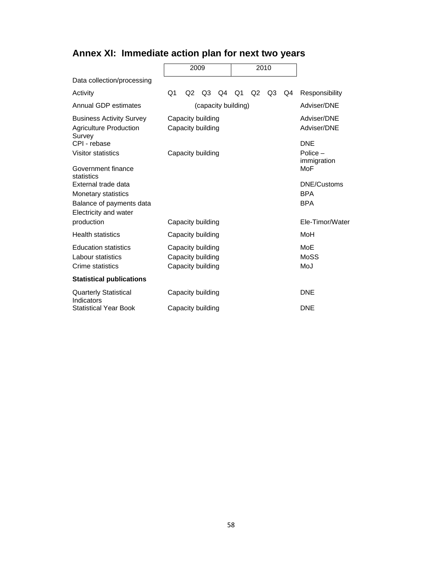# **Annex XI: Immediate action plan for next two years**

|                                                                            | 2009 |                                        |                            | 2010 |                           |                |                |     |                    |
|----------------------------------------------------------------------------|------|----------------------------------------|----------------------------|------|---------------------------|----------------|----------------|-----|--------------------|
| Data collection/processing                                                 |      |                                        |                            |      |                           |                |                |     |                    |
| Activity                                                                   | Q1   | Q2                                     | Q <sub>3</sub>             | Q4   | - Q1                      | Q <sub>2</sub> | Q <sub>3</sub> | Q4  | Responsibility     |
| Annual GDP estimates                                                       |      |                                        |                            |      | (capacity building)       |                |                |     | Adviser/DNE        |
| <b>Business Activity Survey</b><br><b>Agriculture Production</b><br>Survey |      | Capacity building<br>Capacity building | Adviser/DNE<br>Adviser/DNE |      |                           |                |                |     |                    |
| CPI - rebase                                                               |      |                                        |                            |      |                           |                |                |     | <b>DNE</b>         |
| <b>Visitor statistics</b>                                                  |      |                                        | Capacity building          |      | Police $-$<br>immigration |                |                |     |                    |
| Government finance<br>statistics                                           |      |                                        |                            |      |                           |                |                |     | MoF                |
| External trade data                                                        |      |                                        |                            |      |                           |                |                |     | <b>DNE/Customs</b> |
| <b>Monetary statistics</b>                                                 |      |                                        |                            |      |                           |                |                |     | <b>BPA</b>         |
| Balance of payments data                                                   |      |                                        |                            |      |                           |                |                |     | <b>BPA</b>         |
| Electricity and water                                                      |      |                                        |                            |      |                           |                |                |     |                    |
| production                                                                 |      |                                        | Capacity building          |      |                           |                |                |     | Ele-Timor/Water    |
| <b>Health statistics</b>                                                   |      | Capacity building                      |                            |      |                           |                |                |     | MoH                |
| <b>Education statistics</b>                                                |      | Capacity building                      |                            |      |                           |                |                | MoE |                    |
| Labour statistics                                                          |      | Capacity building                      |                            |      |                           |                |                |     | MoSS               |
| Crime statistics                                                           |      | Capacity building                      |                            |      |                           |                |                |     | MoJ                |
| <b>Statistical publications</b>                                            |      |                                        |                            |      |                           |                |                |     |                    |
| <b>Quarterly Statistical</b><br>Indicators                                 |      | Capacity building                      |                            |      |                           |                |                |     | <b>DNE</b>         |
| <b>Statistical Year Book</b>                                               |      |                                        | Capacity building          |      |                           |                |                |     | <b>DNE</b>         |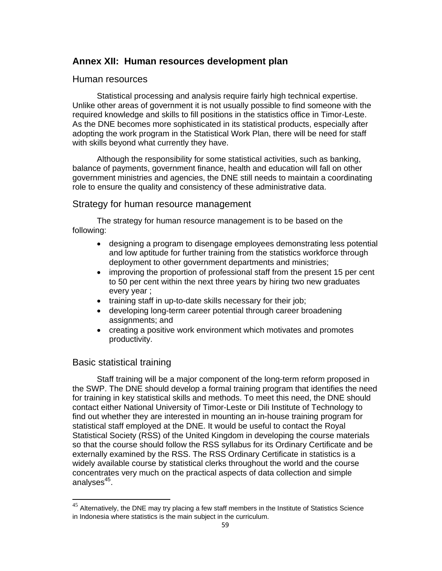## **Annex XII: Human resources development plan**

## Human resources

Statistical processing and analysis require fairly high technical expertise. Unlike other areas of government it is not usually possible to find someone with the required knowledge and skills to fill positions in the statistics office in Timor-Leste. As the DNE becomes more sophisticated in its statistical products, especially after adopting the work program in the Statistical Work Plan, there will be need for staff with skills beyond what currently they have.

Although the responsibility for some statistical activities, such as banking, balance of payments, government finance, health and education will fall on other government ministries and agencies, the DNE still needs to maintain a coordinating role to ensure the quality and consistency of these administrative data.

## Strategy for human resource management

The strategy for human resource management is to be based on the following:

- designing a program to disengage employees demonstrating less potential and low aptitude for further training from the statistics workforce through deployment to other government departments and ministries;
- improving the proportion of professional staff from the present 15 per cent to 50 per cent within the next three years by hiring two new graduates every year ;
- training staff in up-to-date skills necessary for their job;
- developing long-term career potential through career broadening assignments; and
- creating a positive work environment which motivates and promotes productivity.

## Basic statistical training

Staff training will be a major component of the long-term reform proposed in the SWP. The DNE should develop a formal training program that identifies the need for training in key statistical skills and methods. To meet this need, the DNE should contact either National University of Timor-Leste or Dili Institute of Technology to find out whether they are interested in mounting an in-house training program for statistical staff employed at the DNE. It would be useful to contact the Royal Statistical Society (RSS) of the United Kingdom in developing the course materials so that the course should follow the RSS syllabus for its Ordinary Certificate and be externally examined by the RSS. The RSS Ordinary Certificate in statistics is a widely available course by statistical clerks throughout the world and the course concentrates very much on the practical aspects of data collection and simple analyses $45$ .

 $45$  Alternatively, the DNE may try placing a few staff members in the Institute of Statistics Science in Indonesia where statistics is the main subject in the curriculum.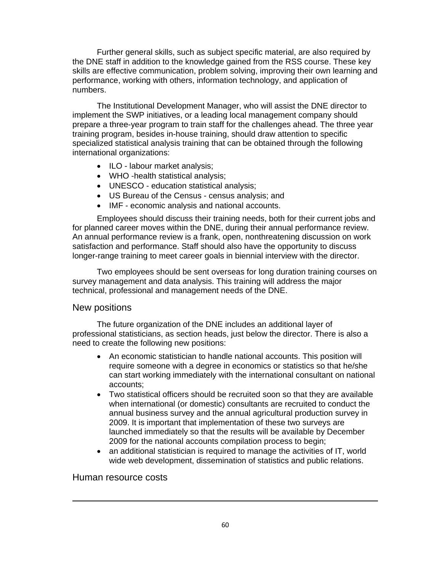Further general skills, such as subject specific material, are also required by the DNE staff in addition to the knowledge gained from the RSS course. These key skills are effective communication, problem solving, improving their own learning and performance, working with others, information technology, and application of numbers.

The Institutional Development Manager, who will assist the DNE director to implement the SWP initiatives, or a leading local management company should prepare a three-year program to train staff for the challenges ahead. The three year training program, besides in-house training, should draw attention to specific specialized statistical analysis training that can be obtained through the following international organizations:

- ILO labour market analysis;
- WHO -health statistical analysis;
- UNESCO education statistical analysis;
- US Bureau of the Census census analysis; and
- IMF economic analysis and national accounts.

Employees should discuss their training needs, both for their current jobs and for planned career moves within the DNE, during their annual performance review. An annual performance review is a frank, open, nonthreatening discussion on work satisfaction and performance. Staff should also have the opportunity to discuss longer-range training to meet career goals in biennial interview with the director.

Two employees should be sent overseas for long duration training courses on survey management and data analysis. This training will address the major technical, professional and management needs of the DNE.

#### New positions

The future organization of the DNE includes an additional layer of professional statisticians, as section heads, just below the director. There is also a need to create the following new positions:

- An economic statistician to handle national accounts. This position will require someone with a degree in economics or statistics so that he/she can start working immediately with the international consultant on national accounts;
- Two statistical officers should be recruited soon so that they are available when international (or domestic) consultants are recruited to conduct the annual business survey and the annual agricultural production survey in 2009. It is important that implementation of these two surveys are launched immediately so that the results will be available by December 2009 for the national accounts compilation process to begin;
- an additional statistician is required to manage the activities of IT, world wide web development, dissemination of statistics and public relations.

#### Human resource costs

<u> La componenta de la componenta de la componenta de la componenta de la componenta de la componenta de la com</u>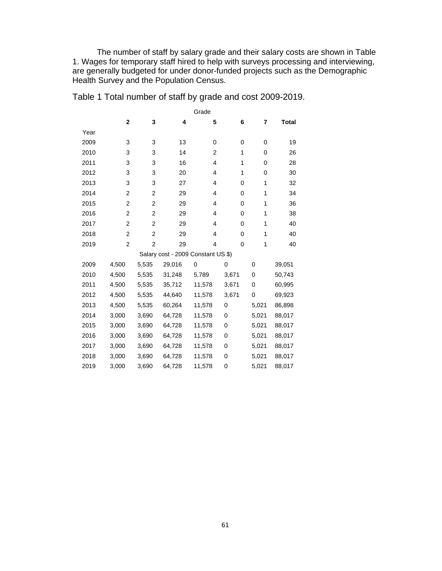The number of staff by salary grade and their salary costs are shown in Table 1. Wages for temporary staff hired to help with surveys processing and interviewing, are generally budgeted for under donor-funded projects such as the Demographic Health Survey and the Population Census.

|      | Grade          |                |                                    |                |          |              |              |  |  |
|------|----------------|----------------|------------------------------------|----------------|----------|--------------|--------------|--|--|
|      | $\mathbf{2}$   | 3              | 4                                  | 5              | 6        | 7            | <b>Total</b> |  |  |
| Year |                |                |                                    |                |          |              |              |  |  |
| 2009 | 3              | 3              | 13                                 | 0              | 0        | 0            | 19           |  |  |
| 2010 | 3              | 3              | 14                                 | $\overline{2}$ | 1        | 0            | 26           |  |  |
| 2011 | 3              | 3              | 16                                 | 4              | 1        | 0            | 28           |  |  |
| 2012 | 3              | 3              | 20                                 | 4              | 1        | 0            | 30           |  |  |
| 2013 | 3              | 3              | 27                                 | 4              | 0        | $\mathbf{1}$ | 32           |  |  |
| 2014 | 2              | $\overline{2}$ | 29                                 | 4              | 0        | $\mathbf{1}$ | 34           |  |  |
| 2015 | 2              | $\overline{2}$ | 29                                 | 4              | 0        | $\mathbf{1}$ | 36           |  |  |
| 2016 | 2              | $\overline{2}$ | 29                                 | 4              | 0        | $\mathbf{1}$ | 38           |  |  |
| 2017 | $\overline{2}$ | $\overline{2}$ | 29                                 | 4              | $\Omega$ | $\mathbf 1$  | 40           |  |  |
| 2018 | 2              | $\overline{c}$ | 29                                 | 4              | 0        | $\mathbf{1}$ | 40           |  |  |
| 2019 | 2              | $\overline{c}$ | 29                                 | 4              | 0        | $\mathbf{1}$ | 40           |  |  |
|      |                |                | Salary cost - 2009 Constant US \$) |                |          |              |              |  |  |
| 2009 | 4,500          | 5,535          | 29,016                             | 0              | 0        | $\mathbf 0$  | 39,051       |  |  |
| 2010 | 4,500          | 5,535          | 31,248                             | 5,789          | 3,671    | 0            | 50,743       |  |  |
| 2011 | 4,500          | 5,535          | 35,712                             | 11,578         | 3,671    | 0            | 60,995       |  |  |
| 2012 | 4,500          | 5,535          | 44,640                             | 11,578         | 3,671    | 0            | 69,923       |  |  |
| 2013 | 4,500          | 5,535          | 60,264                             | 11,578         | 0        | 5,021        | 86,898       |  |  |
| 2014 | 3,000          | 3,690          | 64,728                             | 11,578         | 0        | 5,021        | 88,017       |  |  |
| 2015 | 3,000          | 3,690          | 64,728                             | 11,578         | 0        | 5,021        | 88,017       |  |  |
| 2016 | 3,000          | 3,690          | 64,728                             | 11,578         | 0        | 5,021        | 88,017       |  |  |
| 2017 | 3,000          | 3,690          | 64,728                             | 11,578         | 0        | 5,021        | 88,017       |  |  |
| 2018 | 3,000          | 3,690          | 64,728                             | 11,578         | 0        | 5,021        | 88,017       |  |  |
| 2019 | 3,000          | 3,690          | 64,728                             | 11,578         | 0        | 5,021        | 88,017       |  |  |

Table 1 Total number of staff by grade and cost 2009-2019.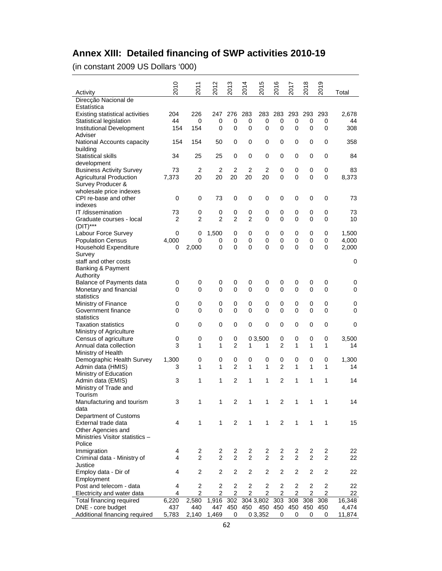# **Annex XIII: Detailed financing of SWP activities 2010-19**

(in constant 2009 US Dollars '000)

| Activity                                                          | 2010           | 2011                 | N<br>201             | ო<br>$\overline{5}$ | 2014              | Ю<br>201             | 2016                    | 2017           | 2018                    | თ<br>$\overline{5}$ | Total       |
|-------------------------------------------------------------------|----------------|----------------------|----------------------|---------------------|-------------------|----------------------|-------------------------|----------------|-------------------------|---------------------|-------------|
| Direcção Nacional de                                              |                |                      |                      |                     |                   |                      |                         |                |                         |                     |             |
| Estatística<br><b>Existing statistical activities</b>             | 204            | 226                  | 247                  | 276                 | 283               | 283                  | 283                     | 293            | 293                     | 293                 | 2,678       |
| Statistical legislation                                           | 44             | 0                    | 0                    | 0                   | 0                 | 0                    | 0                       | 0              | 0                       | 0                   | 44          |
| Institutional Development                                         | 154            | 154                  | 0                    | $\mathbf 0$         | 0                 | 0                    | $\overline{0}$          | 0              | 0                       | 0                   | 308         |
| Adviser                                                           |                |                      |                      |                     |                   |                      |                         |                |                         |                     |             |
| National Accounts capacity<br>building                            | 154            | 154                  | 50                   | 0                   | 0                 | 0                    | 0                       | 0              | 0                       | 0                   | 358         |
| Statistical skills                                                | 34             | 25                   | 25                   | $\mathbf 0$         | 0                 | 0                    | 0                       | 0              | 0                       | 0                   | 84          |
| development                                                       |                |                      |                      |                     |                   |                      |                         |                |                         |                     |             |
| <b>Business Activity Survey</b><br><b>Agricultural Production</b> | 73<br>7,373    | $\overline{2}$<br>20 | $\overline{2}$<br>20 | 2<br>20             | 2<br>20           | $\overline{2}$<br>20 | 0<br>$\overline{0}$     | 0<br>0         | $\mathbf 0$<br>0        | 0<br>0              | 83<br>8,373 |
| Survey Producer &                                                 |                |                      |                      |                     |                   |                      |                         |                |                         |                     |             |
| wholesale price indexes                                           |                |                      |                      |                     |                   |                      |                         |                |                         |                     |             |
| CPI re-base and other                                             | 0              | 0                    | 73                   | $\mathbf 0$         | 0                 | 0                    | 0                       | 0              | $\mathbf 0$             | 0                   | 73          |
| indexes                                                           |                |                      |                      |                     |                   |                      |                         |                |                         |                     |             |
| IT /dissemination                                                 | 73             | 0                    | 0                    | 0                   | 0                 | 0                    | 0                       | 0              | 0                       | 0                   | 73          |
| Graduate courses - local                                          | $\overline{2}$ | $\overline{2}$       | $\overline{2}$       | $\overline{2}$      | $\overline{2}$    | 0                    | $\overline{0}$          | 0              | $\mathbf 0$             | 0                   | 10          |
| $(DIT)***$<br>Labour Force Survey                                 | 0              | 0                    | 1,500                | 0                   | 0                 | 0                    | 0                       | 0              | 0                       | 0                   | 1,500       |
| <b>Population Census</b>                                          | 4,000          | 0                    | 0                    | 0                   | 0                 | 0                    | 0                       | 0              | 0                       | 0                   | 4,000       |
| Household Expenditure                                             | 0              | 2,000                | 0                    | 0                   | 0                 | 0                    | 0                       | 0              | 0                       | 0                   | 2,000       |
| Survey                                                            |                |                      |                      |                     |                   |                      |                         |                |                         |                     |             |
| staff and other costs                                             |                |                      |                      |                     |                   |                      |                         |                |                         |                     | 0           |
| Banking & Payment                                                 |                |                      |                      |                     |                   |                      |                         |                |                         |                     |             |
| Authority                                                         |                |                      |                      |                     |                   |                      |                         |                |                         |                     |             |
| Balance of Payments data                                          | 0              | 0                    | 0                    | 0                   | 0                 | 0                    | 0                       | 0              | 0                       | 0                   | 0           |
| Monetary and financial<br>statistics                              | 0              | 0                    | 0                    | $\mathbf 0$         | 0                 | 0                    | $\overline{0}$          | 0              | 0                       | 0                   | $\Omega$    |
| Ministry of Finance                                               | 0              | 0                    | 0                    | 0                   | 0                 | 0                    | 0                       | 0              | 0                       | 0                   | 0           |
| Government finance                                                | 0              | 0                    | 0                    | $\mathbf 0$         | $\mathbf 0$       | 0                    | $\overline{0}$          | 0              | $\mathbf 0$             | 0                   | 0           |
| statistics                                                        |                |                      |                      |                     |                   |                      |                         |                |                         |                     |             |
| <b>Taxation statistics</b>                                        | 0              | 0                    | 0                    | 0                   | 0                 | 0                    | 0                       | 0              | 0                       | 0                   | 0           |
| Ministry of Agriculture                                           |                |                      |                      |                     |                   |                      |                         |                |                         |                     |             |
| Census of agriculture                                             | 0              | 0                    | 0                    | 0                   |                   | 0 3,500              | 0                       | 0              | $\mathbf 0$             | 0                   | 3,500       |
| Annual data collection                                            | 3              | 1                    | 1                    | $\overline{2}$      | 1                 | 1                    | $\overline{2}$          | 1              | $\mathbf{1}$            | 1                   | 14          |
| Ministry of Health<br>Demographic Health Survey                   | 1,300          | 0                    | 0                    | 0                   | 0                 | 0                    | 0                       | 0              | 0                       | 0                   | 1,300       |
| Admin data (HMIS)                                                 | 3              | 1                    | 1                    | $\overline{2}$      | 1                 | 1                    | $\overline{2}$          | 1              | $\mathbf{1}$            | 1                   | 14          |
| Ministry of Education                                             |                |                      |                      |                     |                   |                      |                         |                |                         |                     |             |
| Admin data (EMIS)                                                 | 3              | 1                    | 1                    | $\overline{2}$      | 1                 | 1                    | $\overline{2}$          | 1              | 1                       | 1                   | 14          |
| Ministry of Trade and                                             |                |                      |                      |                     |                   |                      |                         |                |                         |                     |             |
| Tourism                                                           |                |                      |                      |                     |                   |                      |                         |                |                         |                     |             |
| Manufacturing and tourism                                         | 3              | 1                    | 1                    | 2                   | 1                 | 1                    | 2                       | 1              | $\mathbf{1}$            | 1                   | 14          |
| data<br>Department of Customs                                     |                |                      |                      |                     |                   |                      |                         |                |                         |                     |             |
| External trade data                                               | $\overline{4}$ | 1                    | 1                    | 2                   | $\mathbf{1}$      | $\mathbf{1}$         | 2                       | 1              | $\mathbf{1}$            | 1                   | 15          |
| Other Agencies and                                                |                |                      |                      |                     |                   |                      |                         |                |                         |                     |             |
| Ministries Visitor statistics -                                   |                |                      |                      |                     |                   |                      |                         |                |                         |                     |             |
| Police                                                            |                |                      |                      |                     |                   |                      |                         |                |                         |                     |             |
| Immigration                                                       | 4              | 2                    | $\overline{2}$       | 2                   | 2                 | 2                    | 2                       | 2              | 2                       | $\overline{2}$      | 22          |
| Criminal data - Ministry of                                       | 4              | $\overline{2}$       | $\overline{2}$       | $\overline{2}$      | $\overline{2}$    | $\overline{2}$       | $\overline{2}$          | $\overline{2}$ | 2                       | $\overline{2}$      | 22          |
| Justice                                                           |                |                      |                      |                     |                   |                      |                         |                |                         |                     |             |
| Employ data - Dir of<br>Employment                                | 4              | 2                    | 2                    | $\boldsymbol{2}$    | 2                 | 2                    | $\overline{\mathbf{c}}$ | 2              | $\overline{\mathbf{c}}$ | $\overline{2}$      | 22          |
| Post and telecom - data                                           | 4              | 2                    | $\boldsymbol{2}$     | $\overline{2}$      | 2                 | $\boldsymbol{2}$     | $\overline{2}$          | 2              | $\overline{c}$          | $\overline{c}$      | 22          |
| Electricity and water data                                        | 4              | $\overline{c}$       | $\boldsymbol{2}$     | $\boldsymbol{2}$    | $\overline{2}$    | 2                    | 2                       | $\overline{2}$ | $\overline{2}$          | 2                   | 22          |
| Total financing required                                          | 6,220          | 2,580                | 1,916                |                     | 302 304 3,802 303 |                      |                         | 308 308        |                         | 308                 | 16,348      |
| DNE - core budget                                                 | 437            | 440                  | 447                  |                     | 450 450           |                      | 450 450                 | 450            | 450                     | 450                 | 4,474       |
| Additional financing required                                     | 5,783          | 2,140                | 1,469                | 0                   |                   | 0 3,352              | 0                       | 0              | 0                       | 0                   | 11,874      |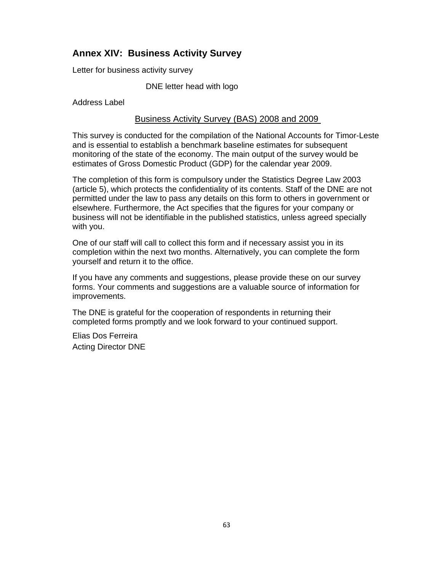# **Annex XIV: Business Activity Survey**

Letter for business activity survey

DNE letter head with logo

Address Label

### Business Activity Survey (BAS) 2008 and 2009

This survey is conducted for the compilation of the National Accounts for Timor-Leste and is essential to establish a benchmark baseline estimates for subsequent monitoring of the state of the economy. The main output of the survey would be estimates of Gross Domestic Product (GDP) for the calendar year 2009.

The completion of this form is compulsory under the Statistics Degree Law 2003 (article 5), which protects the confidentiality of its contents. Staff of the DNE are not permitted under the law to pass any details on this form to others in government or elsewhere. Furthermore, the Act specifies that the figures for your company or business will not be identifiable in the published statistics, unless agreed specially with you.

One of our staff will call to collect this form and if necessary assist you in its completion within the next two months. Alternatively, you can complete the form yourself and return it to the office.

If you have any comments and suggestions, please provide these on our survey forms. Your comments and suggestions are a valuable source of information for improvements.

The DNE is grateful for the cooperation of respondents in returning their completed forms promptly and we look forward to your continued support.

Elias Dos Ferreira Acting Director DNE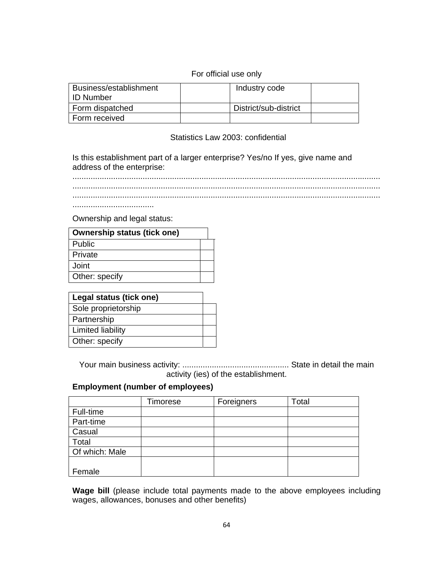## For official use only

| Business/establishment<br>l ID Number | Industry code         |  |
|---------------------------------------|-----------------------|--|
| Form dispatched                       | District/sub-district |  |
| Form received                         |                       |  |

### Statistics Law 2003: confidential

Is this establishment part of a larger enterprise? Yes/no If yes, give name and address of the enterprise:

........................................................................................................................................ ........................................................................................................................................ ........................................................................................................................................

....................................

Ownership and legal status:

| <b>Ownership status (tick one)</b> |  |
|------------------------------------|--|
| Public                             |  |
| Private                            |  |
| Joint                              |  |
| Other: specify                     |  |
|                                    |  |

| Legal status (tick one) |  |
|-------------------------|--|
| Sole proprietorship     |  |
| Partnership             |  |
| Limited liability       |  |
| Other: specify          |  |

Your main business activity: ............................................... State in detail the main activity (ies) of the establishment.

## **Employment (number of employees)**

|                | Timorese | Foreigners | Total |
|----------------|----------|------------|-------|
| Full-time      |          |            |       |
| Part-time      |          |            |       |
| Casual         |          |            |       |
| Total          |          |            |       |
| Of which: Male |          |            |       |
|                |          |            |       |
| Female         |          |            |       |

**Wage bill** (please include total payments made to the above employees including wages, allowances, bonuses and other benefits)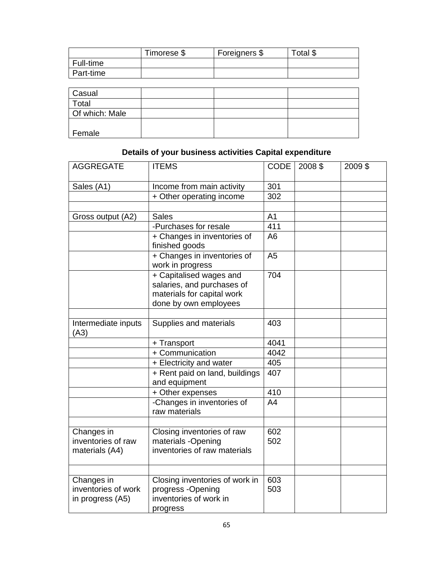|           | Timorese \$ | Foreigners \$ | Total \$ |
|-----------|-------------|---------------|----------|
| Full-time |             |               |          |
| Part-time |             |               |          |
|           |             |               |          |

| Casual         |  |
|----------------|--|
| Total          |  |
| Of which: Male |  |
| Female         |  |

# **Details of your business activities Capital expenditure**

| <b>AGGREGATE</b>                                      | <b>ITEMS</b>                                                                                                 | <b>CODE</b>      | 2008 \$ | 2009 \$ |
|-------------------------------------------------------|--------------------------------------------------------------------------------------------------------------|------------------|---------|---------|
| Sales (A1)                                            | Income from main activity                                                                                    | 301              |         |         |
|                                                       | + Other operating income                                                                                     | $\overline{302}$ |         |         |
|                                                       |                                                                                                              |                  |         |         |
| Gross output (A2)                                     | <b>Sales</b>                                                                                                 | A <sub>1</sub>   |         |         |
|                                                       | -Purchases for resale                                                                                        | 411              |         |         |
|                                                       | + Changes in inventories of<br>finished goods                                                                | A <sub>6</sub>   |         |         |
|                                                       | + Changes in inventories of<br>work in progress                                                              | A <sub>5</sub>   |         |         |
|                                                       | + Capitalised wages and<br>salaries, and purchases of<br>materials for capital work<br>done by own employees | 704              |         |         |
|                                                       |                                                                                                              |                  |         |         |
| Intermediate inputs<br>(A3)                           | Supplies and materials                                                                                       | 403              |         |         |
|                                                       | + Transport                                                                                                  | 4041             |         |         |
|                                                       | + Communication                                                                                              | 4042             |         |         |
|                                                       | + Electricity and water                                                                                      | 405              |         |         |
|                                                       | + Rent paid on land, buildings<br>and equipment                                                              | 407              |         |         |
|                                                       | + Other expenses                                                                                             | 410              |         |         |
|                                                       | -Changes in inventories of<br>raw materials                                                                  | A <sub>4</sub>   |         |         |
|                                                       |                                                                                                              |                  |         |         |
| Changes in<br>inventories of raw<br>materials (A4)    | Closing inventories of raw<br>materials -Opening<br>inventories of raw materials                             | 602<br>502       |         |         |
|                                                       |                                                                                                              |                  |         |         |
| Changes in<br>inventories of work<br>in progress (A5) | Closing inventories of work in<br>progress -Opening<br>inventories of work in<br>progress                    | 603<br>503       |         |         |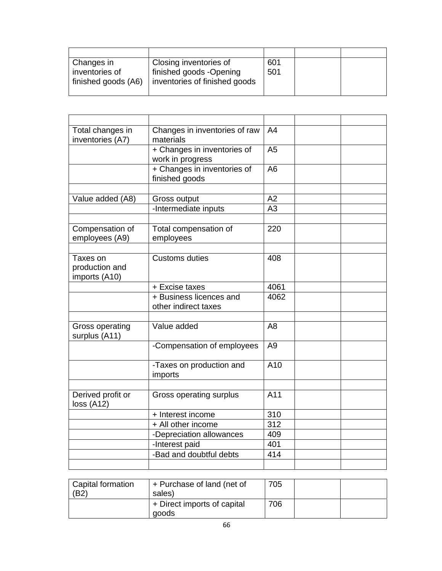| Changes in          | Closing inventories of        | 601 |  |
|---------------------|-------------------------------|-----|--|
| inventories of      | finished goods -Opening       | 501 |  |
| finished goods (A6) | inventories of finished goods |     |  |
|                     |                               |     |  |

| Total changes in<br>inventories (A7)        | Changes in inventories of raw<br>materials      | A <sub>4</sub> |  |
|---------------------------------------------|-------------------------------------------------|----------------|--|
|                                             | + Changes in inventories of<br>work in progress | A <sub>5</sub> |  |
|                                             | + Changes in inventories of<br>finished goods   | A <sub>6</sub> |  |
|                                             |                                                 |                |  |
| Value added (A8)                            | Gross output                                    | A2             |  |
|                                             | -Intermediate inputs                            | A3             |  |
|                                             |                                                 |                |  |
| Compensation of<br>employees (A9)           | Total compensation of<br>employees              | 220            |  |
|                                             |                                                 |                |  |
| Taxes on<br>production and<br>imports (A10) | <b>Customs duties</b>                           | 408            |  |
|                                             | + Excise taxes                                  | 4061           |  |
|                                             | + Business licences and<br>other indirect taxes | 4062           |  |
|                                             |                                                 |                |  |
| <b>Gross operating</b><br>surplus (A11)     | Value added                                     | A <sub>8</sub> |  |
|                                             | -Compensation of employees                      | A <sub>9</sub> |  |
|                                             | -Taxes on production and<br>imports             | A10            |  |
|                                             |                                                 |                |  |
| Derived profit or<br>loss (A12)             | Gross operating surplus                         | A11            |  |
|                                             | + Interest income                               | 310            |  |
|                                             | + All other income                              | 312            |  |
|                                             | -Depreciation allowances                        | 409            |  |
|                                             | -Interest paid                                  | 401            |  |
|                                             | -Bad and doubtful debts                         | 414            |  |
|                                             |                                                 |                |  |

| Capital formation<br>(B2) | I + Purchase of land (net of<br>sales) | 705 |  |
|---------------------------|----------------------------------------|-----|--|
|                           | + Direct imports of capital<br>goods   | 706 |  |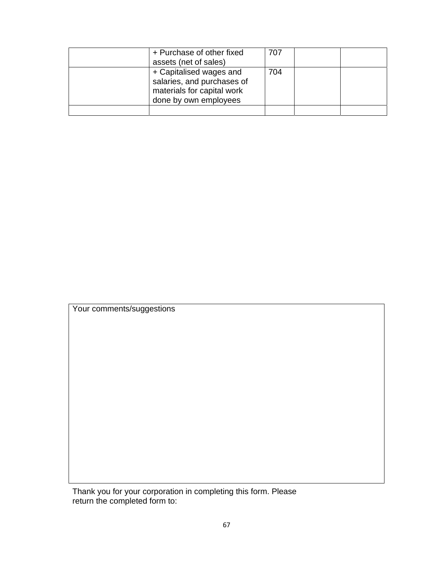| + Purchase of other fixed<br>assets (net of sales)                                                           | 707 |  |
|--------------------------------------------------------------------------------------------------------------|-----|--|
| + Capitalised wages and<br>salaries, and purchases of<br>materials for capital work<br>done by own employees | 704 |  |
|                                                                                                              |     |  |

Your comments/suggestions

Thank you for your corporation in completing this form. Please return the completed form to: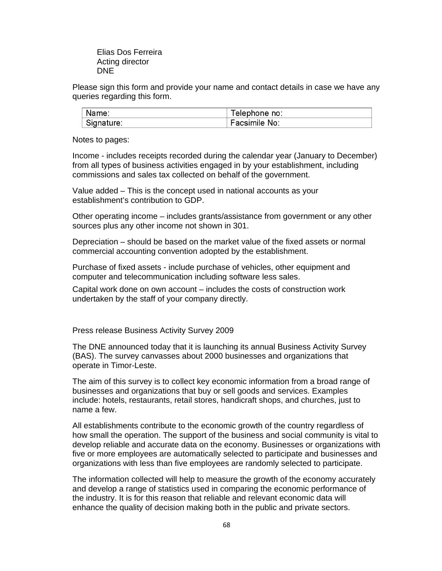Elias Dos Ferreira Acting director DNE

Please sign this form and provide your name and contact details in case we have any queries regarding this form.

| Name:      | <sup>r</sup> elephone no∶ |
|------------|---------------------------|
| Signature: | Facsimile No:             |

Notes to pages:

Income - includes receipts recorded during the calendar year (January to December) from all types of business activities engaged in by your establishment, including commissions and sales tax collected on behalf of the government.

Value added – This is the concept used in national accounts as your establishment's contribution to GDP.

Other operating income – includes grants/assistance from government or any other sources plus any other income not shown in 301.

Depreciation – should be based on the market value of the fixed assets or normal commercial accounting convention adopted by the establishment.

Purchase of fixed assets - include purchase of vehicles, other equipment and computer and telecommunication including software less sales.

Capital work done on own account – includes the costs of construction work undertaken by the staff of your company directly.

Press release Business Activity Survey 2009

The DNE announced today that it is launching its annual Business Activity Survey (BAS). The survey canvasses about 2000 businesses and organizations that operate in Timor-Leste.

The aim of this survey is to collect key economic information from a broad range of businesses and organizations that buy or sell goods and services. Examples include: hotels, restaurants, retail stores, handicraft shops, and churches, just to name a few.

All establishments contribute to the economic growth of the country regardless of how small the operation. The support of the business and social community is vital to develop reliable and accurate data on the economy. Businesses or organizations with five or more employees are automatically selected to participate and businesses and organizations with less than five employees are randomly selected to participate.

The information collected will help to measure the growth of the economy accurately and develop a range of statistics used in comparing the economic performance of the industry. It is for this reason that reliable and relevant economic data will enhance the quality of decision making both in the public and private sectors.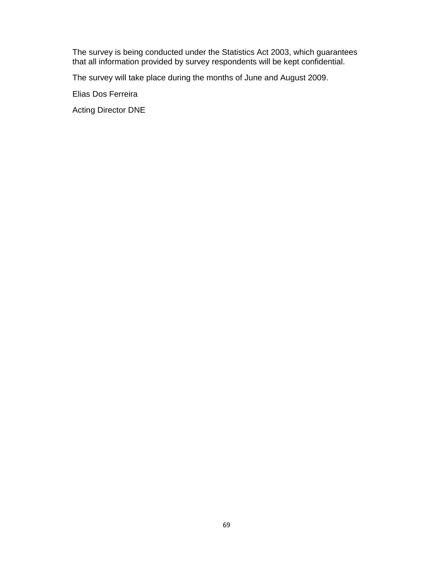The survey is being conducted under the Statistics Act 2003, which guarantees that all information provided by survey respondents will be kept confidential.

The survey will take place during the months of June and August 2009.

Elias Dos Ferreira

Acting Director DNE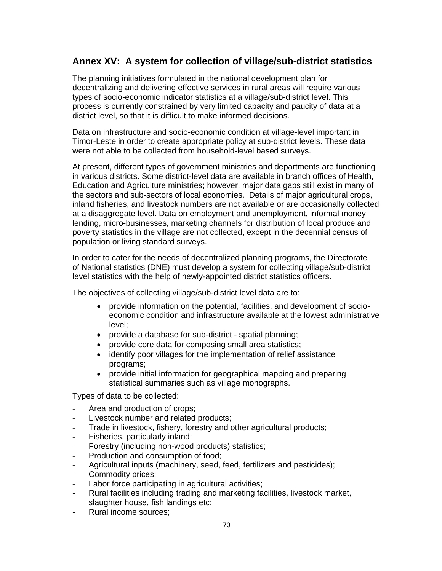# **Annex XV: A system for collection of village/sub-district statistics**

The planning initiatives formulated in the national development plan for decentralizing and delivering effective services in rural areas will require various types of socio-economic indicator statistics at a village/sub-district level. This process is currently constrained by very limited capacity and paucity of data at a district level, so that it is difficult to make informed decisions.

Data on infrastructure and socio-economic condition at village-level important in Timor-Leste in order to create appropriate policy at sub-district levels. These data were not able to be collected from household-level based surveys.

At present, different types of government ministries and departments are functioning in various districts. Some district-level data are available in branch offices of Health, Education and Agriculture ministries; however, major data gaps still exist in many of the sectors and sub-sectors of local economies. Details of major agricultural crops, inland fisheries, and livestock numbers are not available or are occasionally collected at a disaggregate level. Data on employment and unemployment, informal money lending, micro-businesses, marketing channels for distribution of local produce and poverty statistics in the village are not collected, except in the decennial census of population or living standard surveys.

In order to cater for the needs of decentralized planning programs, the Directorate of National statistics (DNE) must develop a system for collecting village/sub-district level statistics with the help of newly-appointed district statistics officers.

The objectives of collecting village/sub-district level data are to:

- provide information on the potential, facilities, and development of socioeconomic condition and infrastructure available at the lowest administrative level;
- provide a database for sub-district spatial planning;
- provide core data for composing small area statistics;
- identify poor villages for the implementation of relief assistance programs;
- provide initial information for geographical mapping and preparing statistical summaries such as village monographs.

Types of data to be collected:

- Area and production of crops;
- Livestock number and related products;
- Trade in livestock, fishery, forestry and other agricultural products;
- Fisheries, particularly inland;
- Forestry (including non-wood products) statistics;
- Production and consumption of food;
- Agricultural inputs (machinery, seed, feed, fertilizers and pesticides);
- Commodity prices;
- Labor force participating in agricultural activities;
- Rural facilities including trading and marketing facilities, livestock market, slaughter house, fish landings etc;
- Rural income sources: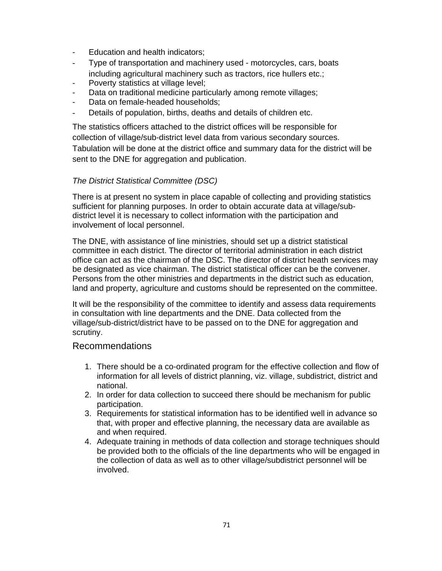- Education and health indicators;
- Type of transportation and machinery used motorcycles, cars, boats including agricultural machinery such as tractors, rice hullers etc.;
- Poverty statistics at village level;
- Data on traditional medicine particularly among remote villages;
- Data on female-headed households;
- Details of population, births, deaths and details of children etc.

The statistics officers attached to the district offices will be responsible for collection of village/sub-district level data from various secondary sources. Tabulation will be done at the district office and summary data for the district will be sent to the DNE for aggregation and publication.

## *The District Statistical Committee (DSC)*

There is at present no system in place capable of collecting and providing statistics sufficient for planning purposes. In order to obtain accurate data at village/subdistrict level it is necessary to collect information with the participation and involvement of local personnel.

The DNE, with assistance of line ministries, should set up a district statistical committee in each district. The director of territorial administration in each district office can act as the chairman of the DSC. The director of district heath services may be designated as vice chairman. The district statistical officer can be the convener. Persons from the other ministries and departments in the district such as education, land and property, agriculture and customs should be represented on the committee.

It will be the responsibility of the committee to identify and assess data requirements in consultation with line departments and the DNE. Data collected from the village/sub-district/district have to be passed on to the DNE for aggregation and scrutiny.

## Recommendations

- 1. There should be a co-ordinated program for the effective collection and flow of information for all levels of district planning, viz. village, subdistrict, district and national.
- 2. In order for data collection to succeed there should be mechanism for public participation.
- 3. Requirements for statistical information has to be identified well in advance so that, with proper and effective planning, the necessary data are available as and when required.
- 4. Adequate training in methods of data collection and storage techniques should be provided both to the officials of the line departments who will be engaged in the collection of data as well as to other village/subdistrict personnel will be involved.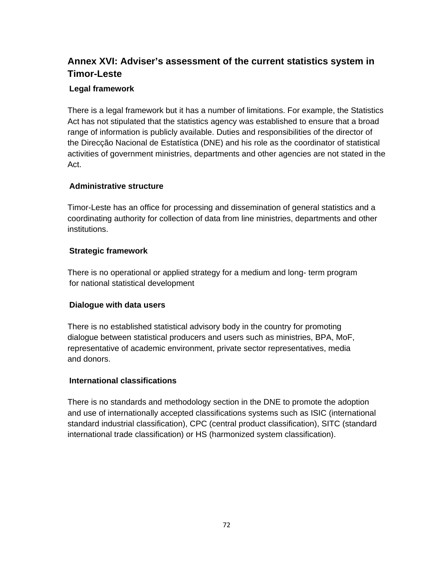# **Annex XVI: Adviser's assessment of the current statistics system in Timor-Leste**

## **Legal framework**

There is a legal framework but it has a number of limitations. For example, the Statistics Act has not stipulated that the statistics agency was established to ensure that a broad range of information is publicly available. Duties and responsibilities of the director of the Direcção Nacional de Estatística (DNE) and his role as the coordinator of statistical activities of government ministries, departments and other agencies are not stated in the Act.

### **Administrative structure**

Timor-Leste has an office for processing and dissemination of general statistics and a coordinating authority for collection of data from line ministries, departments and other institutions.

### **Strategic framework**

There is no operational or applied strategy for a medium and long- term program for national statistical development

### **Dialogue with data users**

There is no established statistical advisory body in the country for promoting dialogue between statistical producers and users such as ministries, BPA, MoF, representative of academic environment, private sector representatives, media and donors.

### **International classifications**

There is no standards and methodology section in the DNE to promote the adoption and use of internationally accepted classifications systems such as ISIC (international standard industrial classification), CPC (central product classification), SITC (standard international trade classification) or HS (harmonized system classification).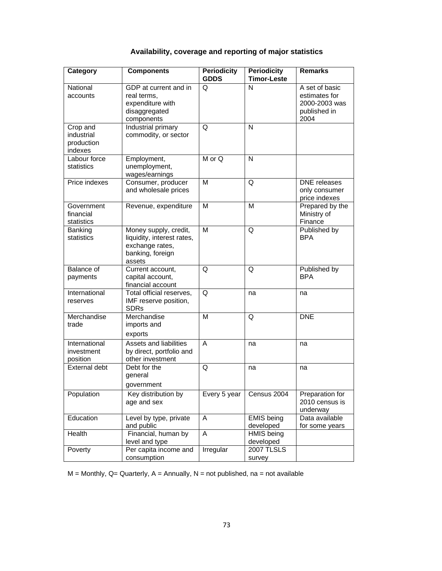## **Availability, coverage and reporting of major statistics**

| Category                                        | <b>Components</b>                                                                                    | <b>Periodicity</b><br><b>GDDS</b> | <b>Periodicity</b><br><b>Timor-Leste</b> | <b>Remarks</b>                                                           |
|-------------------------------------------------|------------------------------------------------------------------------------------------------------|-----------------------------------|------------------------------------------|--------------------------------------------------------------------------|
| National<br>accounts                            | GDP at current and in<br>real terms,<br>expenditure with<br>disaggregated<br>components              | Q                                 | N                                        | A set of basic<br>estimates for<br>2000-2003 was<br>published in<br>2004 |
| Crop and<br>industrial<br>production<br>indexes | Industrial primary<br>commodity, or sector                                                           | Q                                 | N                                        |                                                                          |
| Labour force<br>statistics                      | Employment,<br>unemployment,<br>wages/earnings                                                       | $M$ or Q                          | N                                        |                                                                          |
| Price indexes                                   | Consumer, producer<br>and wholesale prices                                                           | M                                 | Q                                        | DNE releases<br>only consumer<br>price indexes                           |
| Government<br>financial<br>statistics           | Revenue, expenditure                                                                                 | M                                 | M                                        | Prepared by the<br>Ministry of<br>Finance                                |
| Banking<br>statistics                           | Money supply, credit,<br>liquidity, interest rates,<br>exchange rates,<br>banking, foreign<br>assets | M                                 | Q                                        | Published by<br><b>BPA</b>                                               |
| <b>Balance of</b><br>payments                   | Current account,<br>capital account,<br>financial account                                            | Q                                 | Q                                        | Published by<br><b>BPA</b>                                               |
| International<br>reserves                       | Total official reserves,<br>IMF reserve position,<br><b>SDRs</b>                                     | Q                                 | na                                       | na                                                                       |
| Merchandise<br>trade                            | Merchandise<br>imports and<br>exports                                                                | M                                 | Q                                        | <b>DNE</b>                                                               |
| International<br>investment<br>position         | Assets and liabilities<br>by direct, portfolio and<br>other investment                               | Α                                 | na                                       | na                                                                       |
| <b>External debt</b>                            | Debt for the<br>general<br>government                                                                | Q                                 | na                                       | na                                                                       |
| Population                                      | Key distribution by<br>age and sex                                                                   | Every 5 year                      | Census 2004                              | Preparation for<br>2010 census is<br>underway                            |
| Education                                       | Level by type, private<br>and public                                                                 | A                                 | <b>EMIS</b> being<br>developed           | Data available<br>for some years                                         |
| Health                                          | Financial, human by<br>level and type                                                                | A                                 | <b>HMIS</b> being<br>developed           |                                                                          |
| Poverty                                         | Per capita income and<br>consumption                                                                 | Irregular                         | <b>2007 TLSLS</b><br>survey              |                                                                          |

 $M =$  Monthly, Q= Quarterly, A = Annually, N = not published, na = not available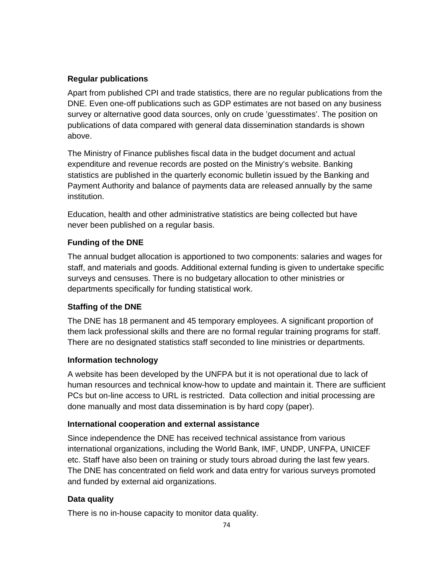## **Regular publications**

Apart from published CPI and trade statistics, there are no regular publications from the DNE. Even one-off publications such as GDP estimates are not based on any business survey or alternative good data sources, only on crude 'guesstimates'. The position on publications of data compared with general data dissemination standards is shown above.

The Ministry of Finance publishes fiscal data in the budget document and actual expenditure and revenue records are posted on the Ministry's website. Banking statistics are published in the quarterly economic bulletin issued by the Banking and Payment Authority and balance of payments data are released annually by the same institution.

Education, health and other administrative statistics are being collected but have never been published on a regular basis.

## **Funding of the DNE**

The annual budget allocation is apportioned to two components: salaries and wages for staff, and materials and goods. Additional external funding is given to undertake specific surveys and censuses. There is no budgetary allocation to other ministries or departments specifically for funding statistical work.

# **Staffing of the DNE**

The DNE has 18 permanent and 45 temporary employees. A significant proportion of them lack professional skills and there are no formal regular training programs for staff. There are no designated statistics staff seconded to line ministries or departments.

### **Information technology**

A website has been developed by the UNFPA but it is not operational due to lack of human resources and technical know-how to update and maintain it. There are sufficient PCs but on-line access to URL is restricted. Data collection and initial processing are done manually and most data dissemination is by hard copy (paper).

# **International cooperation and external assistance**

Since independence the DNE has received technical assistance from various international organizations, including the World Bank, IMF, UNDP, UNFPA, UNICEF etc. Staff have also been on training or study tours abroad during the last few years. The DNE has concentrated on field work and data entry for various surveys promoted and funded by external aid organizations.

# **Data quality**

There is no in-house capacity to monitor data quality.